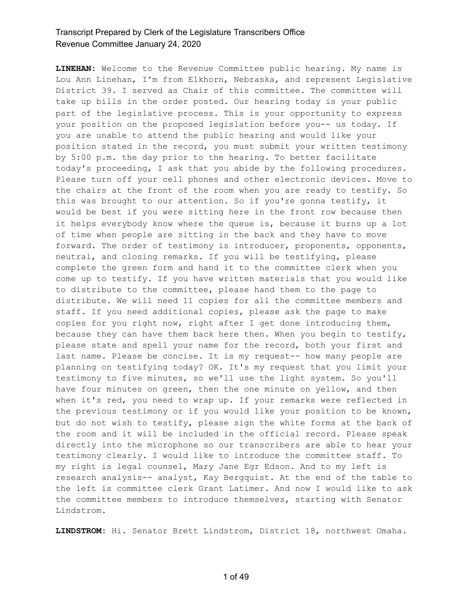**LINEHAN:** Welcome to the Revenue Committee public hearing. My name is Lou Ann Linehan, I'm from Elkhorn, Nebraska, and represent Legislative District 39. I served as Chair of this committee. The committee will take up bills in the order posted. Our hearing today is your public part of the legislative process. This is your opportunity to express your position on the proposed legislation before you-- us today. If you are unable to attend the public hearing and would like your position stated in the record, you must submit your written testimony by 5:00 p.m. the day prior to the hearing. To better facilitate today's proceeding, I ask that you abide by the following procedures. Please turn off your cell phones and other electronic devices. Move to the chairs at the front of the room when you are ready to testify. So this was brought to our attention. So if you're gonna testify, it would be best if you were sitting here in the front row because then it helps everybody know where the queue is, because it burns up a lot of time when people are sitting in the back and they have to move forward. The order of testimony is introducer, proponents, opponents, neutral, and closing remarks. If you will be testifying, please complete the green form and hand it to the committee clerk when you come up to testify. If you have written materials that you would like to distribute to the committee, please hand them to the page to distribute. We will need 11 copies for all the committee members and staff. If you need additional copies, please ask the page to make copies for you right now, right after I get done introducing them, because they can have them back here then. When you begin to testify, please state and spell your name for the record, both your first and last name. Please be concise. It is my request-- how many people are planning on testifying today? OK. It's my request that you limit your testimony to five minutes, so we'll use the light system. So you'll have four minutes on green, then the one minute on yellow, and then when it's red, you need to wrap up. If your remarks were reflected in the previous testimony or if you would like your position to be known, but do not wish to testify, please sign the white forms at the back of the room and it will be included in the official record. Please speak directly into the microphone so our transcribers are able to hear your testimony clearly. I would like to introduce the committee staff. To my right is legal counsel, Mary Jane Egr Edson. And to my left is research analysis-- analyst, Kay Bergquist. At the end of the table to the left is committee clerk Grant Latimer. And now I would like to ask the committee members to introduce themselves, starting with Senator Lindstrom.

**LINDSTROM:** Hi. Senator Brett Lindstrom, District 18, northwest Omaha.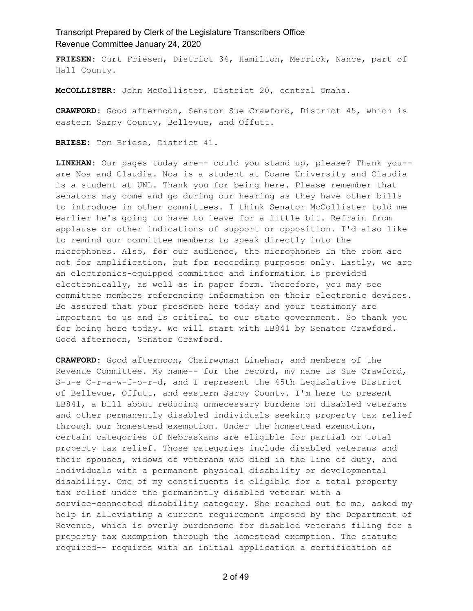**FRIESEN:** Curt Friesen, District 34, Hamilton, Merrick, Nance, part of Hall County.

**McCOLLISTER:** John McCollister, District 20, central Omaha.

**CRAWFORD:** Good afternoon, Senator Sue Crawford, District 45, which is eastern Sarpy County, Bellevue, and Offutt.

**BRIESE:** Tom Briese, District 41.

**LINEHAN:** Our pages today are-- could you stand up, please? Thank you- are Noa and Claudia. Noa is a student at Doane University and Claudia is a student at UNL. Thank you for being here. Please remember that senators may come and go during our hearing as they have other bills to introduce in other committees. I think Senator McCollister told me earlier he's going to have to leave for a little bit. Refrain from applause or other indications of support or opposition. I'd also like to remind our committee members to speak directly into the microphones. Also, for our audience, the microphones in the room are not for amplification, but for recording purposes only. Lastly, we are an electronics-equipped committee and information is provided electronically, as well as in paper form. Therefore, you may see committee members referencing information on their electronic devices. Be assured that your presence here today and your testimony are important to us and is critical to our state government. So thank you for being here today. We will start with LB841 by Senator Crawford. Good afternoon, Senator Crawford.

**CRAWFORD:** Good afternoon, Chairwoman Linehan, and members of the Revenue Committee. My name-- for the record, my name is Sue Crawford, S-u-e C-r-a-w-f-o-r-d, and I represent the 45th Legislative District of Bellevue, Offutt, and eastern Sarpy County. I'm here to present LB841, a bill about reducing unnecessary burdens on disabled veterans and other permanently disabled individuals seeking property tax relief through our homestead exemption. Under the homestead exemption, certain categories of Nebraskans are eligible for partial or total property tax relief. Those categories include disabled veterans and their spouses, widows of veterans who died in the line of duty, and individuals with a permanent physical disability or developmental disability. One of my constituents is eligible for a total property tax relief under the permanently disabled veteran with a service-connected disability category. She reached out to me, asked my help in alleviating a current requirement imposed by the Department of Revenue, which is overly burdensome for disabled veterans filing for a property tax exemption through the homestead exemption. The statute required-- requires with an initial application a certification of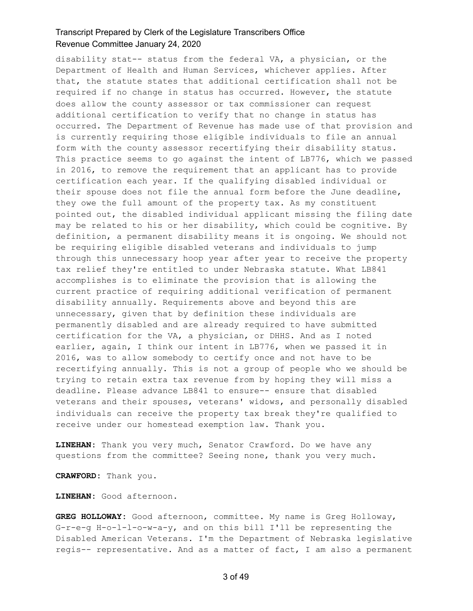disability stat-- status from the federal VA, a physician, or the Department of Health and Human Services, whichever applies. After that, the statute states that additional certification shall not be required if no change in status has occurred. However, the statute does allow the county assessor or tax commissioner can request additional certification to verify that no change in status has occurred. The Department of Revenue has made use of that provision and is currently requiring those eligible individuals to file an annual form with the county assessor recertifying their disability status. This practice seems to go against the intent of LB776, which we passed in 2016, to remove the requirement that an applicant has to provide certification each year. If the qualifying disabled individual or their spouse does not file the annual form before the June deadline, they owe the full amount of the property tax. As my constituent pointed out, the disabled individual applicant missing the filing date may be related to his or her disability, which could be cognitive. By definition, a permanent disability means it is ongoing. We should not be requiring eligible disabled veterans and individuals to jump through this unnecessary hoop year after year to receive the property tax relief they're entitled to under Nebraska statute. What LB841 accomplishes is to eliminate the provision that is allowing the current practice of requiring additional verification of permanent disability annually. Requirements above and beyond this are unnecessary, given that by definition these individuals are permanently disabled and are already required to have submitted certification for the VA, a physician, or DHHS. And as I noted earlier, again, I think our intent in LB776, when we passed it in 2016, was to allow somebody to certify once and not have to be recertifying annually. This is not a group of people who we should be trying to retain extra tax revenue from by hoping they will miss a deadline. Please advance LB841 to ensure-- ensure that disabled veterans and their spouses, veterans' widows, and personally disabled individuals can receive the property tax break they're qualified to receive under our homestead exemption law. Thank you.

**LINEHAN:** Thank you very much, Senator Crawford. Do we have any questions from the committee? Seeing none, thank you very much.

**CRAWFORD:** Thank you.

**LINEHAN:** Good afternoon.

**GREG HOLLOWAY:** Good afternoon, committee. My name is Greg Holloway, G-r-e-g H-o-l-l-o-w-a-y, and on this bill I'll be representing the Disabled American Veterans. I'm the Department of Nebraska legislative regis-- representative. And as a matter of fact, I am also a permanent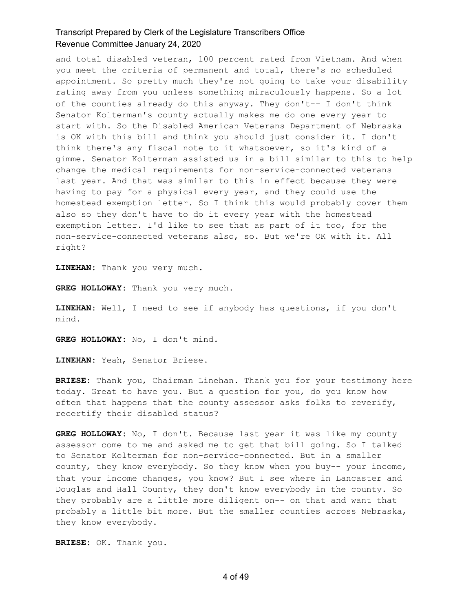and total disabled veteran, 100 percent rated from Vietnam. And when you meet the criteria of permanent and total, there's no scheduled appointment. So pretty much they're not going to take your disability rating away from you unless something miraculously happens. So a lot of the counties already do this anyway. They don't-- I don't think Senator Kolterman's county actually makes me do one every year to start with. So the Disabled American Veterans Department of Nebraska is OK with this bill and think you should just consider it. I don't think there's any fiscal note to it whatsoever, so it's kind of a gimme. Senator Kolterman assisted us in a bill similar to this to help change the medical requirements for non-service-connected veterans last year. And that was similar to this in effect because they were having to pay for a physical every year, and they could use the homestead exemption letter. So I think this would probably cover them also so they don't have to do it every year with the homestead exemption letter. I'd like to see that as part of it too, for the non-service-connected veterans also, so. But we're OK with it. All right?

**LINEHAN:** Thank you very much.

**GREG HOLLOWAY:** Thank you very much.

**LINEHAN:** Well, I need to see if anybody has questions, if you don't mind.

**GREG HOLLOWAY:** No, I don't mind.

**LINEHAN:** Yeah, Senator Briese.

**BRIESE:** Thank you, Chairman Linehan. Thank you for your testimony here today. Great to have you. But a question for you, do you know how often that happens that the county assessor asks folks to reverify, recertify their disabled status?

**GREG HOLLOWAY:** No, I don't. Because last year it was like my county assessor come to me and asked me to get that bill going. So I talked to Senator Kolterman for non-service-connected. But in a smaller county, they know everybody. So they know when you buy-- your income, that your income changes, you know? But I see where in Lancaster and Douglas and Hall County, they don't know everybody in the county. So they probably are a little more diligent on-- on that and want that probably a little bit more. But the smaller counties across Nebraska, they know everybody.

**BRIESE:** OK. Thank you.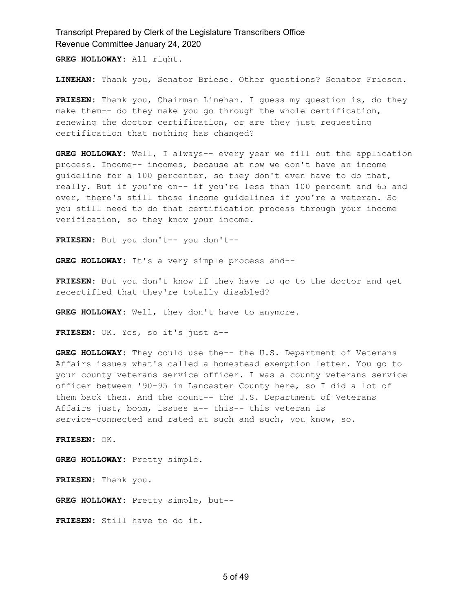**GREG HOLLOWAY:** All right.

**LINEHAN:** Thank you, Senator Briese. Other questions? Senator Friesen.

**FRIESEN:** Thank you, Chairman Linehan. I guess my question is, do they make them-- do they make you go through the whole certification, renewing the doctor certification, or are they just requesting certification that nothing has changed?

**GREG HOLLOWAY:** Well, I always-- every year we fill out the application process. Income-- incomes, because at now we don't have an income guideline for a 100 percenter, so they don't even have to do that, really. But if you're on-- if you're less than 100 percent and 65 and over, there's still those income guidelines if you're a veteran. So you still need to do that certification process through your income verification, so they know your income.

**FRIESEN:** But you don't-- you don't--

**GREG HOLLOWAY:** It's a very simple process and--

**FRIESEN:** But you don't know if they have to go to the doctor and get recertified that they're totally disabled?

**GREG HOLLOWAY:** Well, they don't have to anymore.

**FRIESEN:** OK. Yes, so it's just a--

**GREG HOLLOWAY:** They could use the-- the U.S. Department of Veterans Affairs issues what's called a homestead exemption letter. You go to your county veterans service officer. I was a county veterans service officer between '90-95 in Lancaster County here, so I did a lot of them back then. And the count-- the U.S. Department of Veterans Affairs just, boom, issues a-- this-- this veteran is service-connected and rated at such and such, you know, so.

**FRIESEN:** OK.

**GREG HOLLOWAY:** Pretty simple.

**FRIESEN:** Thank you.

**GREG HOLLOWAY:** Pretty simple, but--

**FRIESEN:** Still have to do it.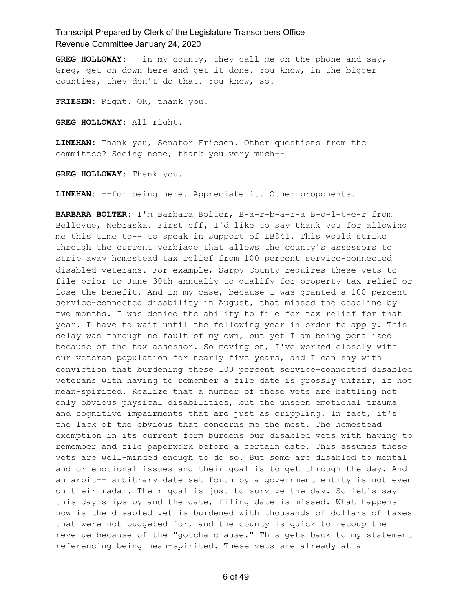**GREG HOLLOWAY:** --in my county, they call me on the phone and say, Greg, get on down here and get it done. You know, in the bigger counties, they don't do that. You know, so.

**FRIESEN:** Right. OK, thank you.

**GREG HOLLOWAY:** All right.

**LINEHAN:** Thank you, Senator Friesen. Other questions from the committee? Seeing none, thank you very much--

**GREG HOLLOWAY:** Thank you.

**LINEHAN:** --for being here. Appreciate it. Other proponents.

**BARBARA BOLTER:** I'm Barbara Bolter, B-a-r-b-a-r-a B-o-l-t-e-r from Bellevue, Nebraska. First off, I'd like to say thank you for allowing me this time to-- to speak in support of LB841. This would strike through the current verbiage that allows the county's assessors to strip away homestead tax relief from 100 percent service-connected disabled veterans. For example, Sarpy County requires these vets to file prior to June 30th annually to qualify for property tax relief or lose the benefit. And in my case, because I was granted a 100 percent service-connected disability in August, that missed the deadline by two months. I was denied the ability to file for tax relief for that year. I have to wait until the following year in order to apply. This delay was through no fault of my own, but yet I am being penalized because of the tax assessor. So moving on, I've worked closely with our veteran population for nearly five years, and I can say with conviction that burdening these 100 percent service-connected disabled veterans with having to remember a file date is grossly unfair, if not mean-spirited. Realize that a number of these vets are battling not only obvious physical disabilities, but the unseen emotional trauma and cognitive impairments that are just as crippling. In fact, it's the lack of the obvious that concerns me the most. The homestead exemption in its current form burdens our disabled vets with having to remember and file paperwork before a certain date. This assumes these vets are well-minded enough to do so. But some are disabled to mental and or emotional issues and their goal is to get through the day. And an arbit-- arbitrary date set forth by a government entity is not even on their radar. Their goal is just to survive the day. So let's say this day slips by and the date, filing date is missed. What happens now is the disabled vet is burdened with thousands of dollars of taxes that were not budgeted for, and the county is quick to recoup the revenue because of the "gotcha clause." This gets back to my statement referencing being mean-spirited. These vets are already at a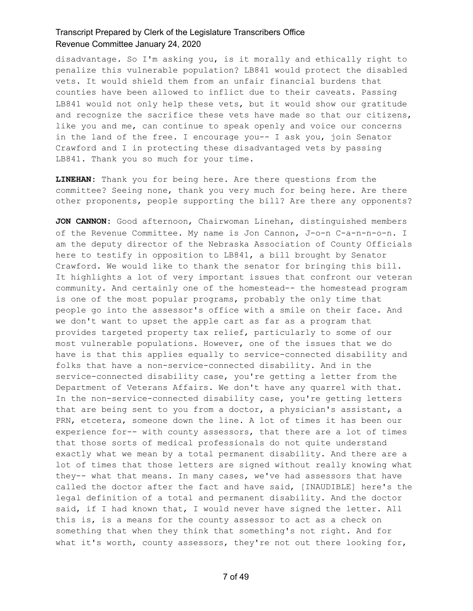disadvantage. So I'm asking you, is it morally and ethically right to penalize this vulnerable population? LB841 would protect the disabled vets. It would shield them from an unfair financial burdens that counties have been allowed to inflict due to their caveats. Passing LB841 would not only help these vets, but it would show our gratitude and recognize the sacrifice these vets have made so that our citizens, like you and me, can continue to speak openly and voice our concerns in the land of the free. I encourage you-- I ask you, join Senator Crawford and I in protecting these disadvantaged vets by passing LB841. Thank you so much for your time.

**LINEHAN:** Thank you for being here. Are there questions from the committee? Seeing none, thank you very much for being here. Are there other proponents, people supporting the bill? Are there any opponents?

**JON CANNON:** Good afternoon, Chairwoman Linehan, distinguished members of the Revenue Committee. My name is Jon Cannon, J-o-n C-a-n-n-o-n. I am the deputy director of the Nebraska Association of County Officials here to testify in opposition to LB841, a bill brought by Senator Crawford. We would like to thank the senator for bringing this bill. It highlights a lot of very important issues that confront our veteran community. And certainly one of the homestead-- the homestead program is one of the most popular programs, probably the only time that people go into the assessor's office with a smile on their face. And we don't want to upset the apple cart as far as a program that provides targeted property tax relief, particularly to some of our most vulnerable populations. However, one of the issues that we do have is that this applies equally to service-connected disability and folks that have a non-service-connected disability. And in the service-connected disability case, you're getting a letter from the Department of Veterans Affairs. We don't have any quarrel with that. In the non-service-connected disability case, you're getting letters that are being sent to you from a doctor, a physician's assistant, a PRN, etcetera, someone down the line. A lot of times it has been our experience for-- with county assessors, that there are a lot of times that those sorts of medical professionals do not quite understand exactly what we mean by a total permanent disability. And there are a lot of times that those letters are signed without really knowing what they-- what that means. In many cases, we've had assessors that have called the doctor after the fact and have said, [INAUDIBLE] here's the legal definition of a total and permanent disability. And the doctor said, if I had known that, I would never have signed the letter. All this is, is a means for the county assessor to act as a check on something that when they think that something's not right. And for what it's worth, county assessors, they're not out there looking for,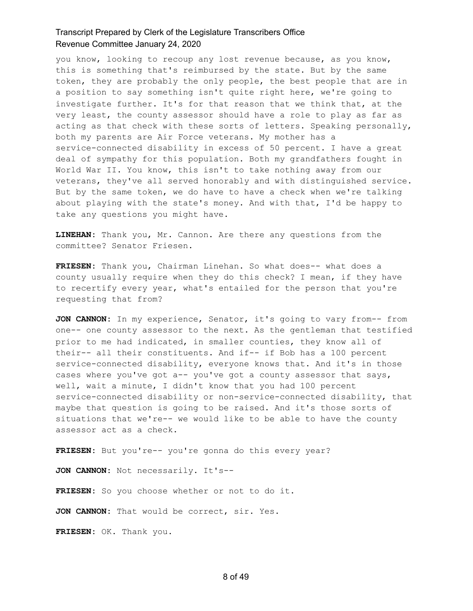you know, looking to recoup any lost revenue because, as you know, this is something that's reimbursed by the state. But by the same token, they are probably the only people, the best people that are in a position to say something isn't quite right here, we're going to investigate further. It's for that reason that we think that, at the very least, the county assessor should have a role to play as far as acting as that check with these sorts of letters. Speaking personally, both my parents are Air Force veterans. My mother has a service-connected disability in excess of 50 percent. I have a great deal of sympathy for this population. Both my grandfathers fought in World War II. You know, this isn't to take nothing away from our veterans, they've all served honorably and with distinguished service. But by the same token, we do have to have a check when we're talking about playing with the state's money. And with that, I'd be happy to take any questions you might have.

**LINEHAN:** Thank you, Mr. Cannon. Are there any questions from the committee? Senator Friesen.

**FRIESEN:** Thank you, Chairman Linehan. So what does-- what does a county usually require when they do this check? I mean, if they have to recertify every year, what's entailed for the person that you're requesting that from?

**JON CANNON:** In my experience, Senator, it's going to vary from-- from one-- one county assessor to the next. As the gentleman that testified prior to me had indicated, in smaller counties, they know all of their-- all their constituents. And if-- if Bob has a 100 percent service-connected disability, everyone knows that. And it's in those cases where you've got a-- you've got a county assessor that says, well, wait a minute, I didn't know that you had 100 percent service-connected disability or non-service-connected disability, that maybe that question is going to be raised. And it's those sorts of situations that we're-- we would like to be able to have the county assessor act as a check.

**FRIESEN:** But you're-- you're gonna do this every year?

**JON CANNON:** Not necessarily. It's--

FRIESEN: So you choose whether or not to do it.

**JON CANNON:** That would be correct, sir. Yes.

**FRIESEN:** OK. Thank you.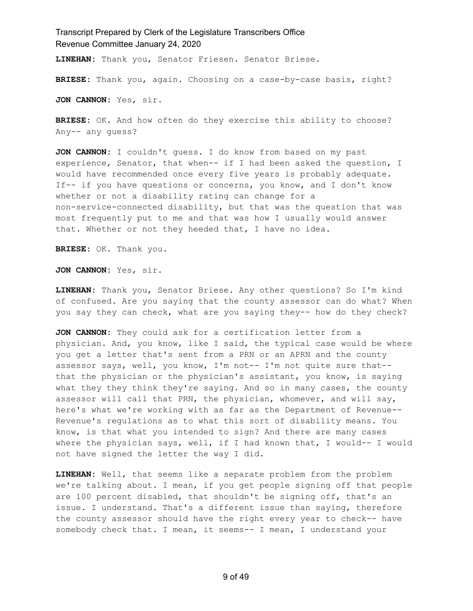**LINEHAN:** Thank you, Senator Friesen. Senator Briese.

**BRIESE:** Thank you, again. Choosing on a case-by-case basis, right?

**JON CANNON:** Yes, sir.

**BRIESE:** OK. And how often do they exercise this ability to choose? Any-- any guess?

**JON CANNON:** I couldn't guess. I do know from based on my past experience, Senator, that when-- if I had been asked the question, I would have recommended once every five years is probably adequate. If-- if you have questions or concerns, you know, and I don't know whether or not a disability rating can change for a non-service-connected disability, but that was the question that was most frequently put to me and that was how I usually would answer that. Whether or not they heeded that, I have no idea.

**BRIESE:** OK. Thank you.

**JON CANNON:** Yes, sir.

**LINEHAN:** Thank you, Senator Briese. Any other questions? So I'm kind of confused. Are you saying that the county assessor can do what? When you say they can check, what are you saying they-- how do they check?

**JON CANNON:** They could ask for a certification letter from a physician. And, you know, like I said, the typical case would be where you get a letter that's sent from a PRN or an APRN and the county assessor says, well, you know, I'm not-- I'm not quite sure that- that the physician or the physician's assistant, you know, is saying what they they think they're saying. And so in many cases, the county assessor will call that PRN, the physician, whomever, and will say, here's what we're working with as far as the Department of Revenue-- Revenue's regulations as to what this sort of disability means. You know, is that what you intended to sign? And there are many cases where the physician says, well, if I had known that, I would-- I would not have signed the letter the way I did.

**LINEHAN:** Well, that seems like a separate problem from the problem we're talking about. I mean, if you get people signing off that people are 100 percent disabled, that shouldn't be signing off, that's an issue. I understand. That's a different issue than saying, therefore the county assessor should have the right every year to check-- have somebody check that. I mean, it seems-- I mean, I understand your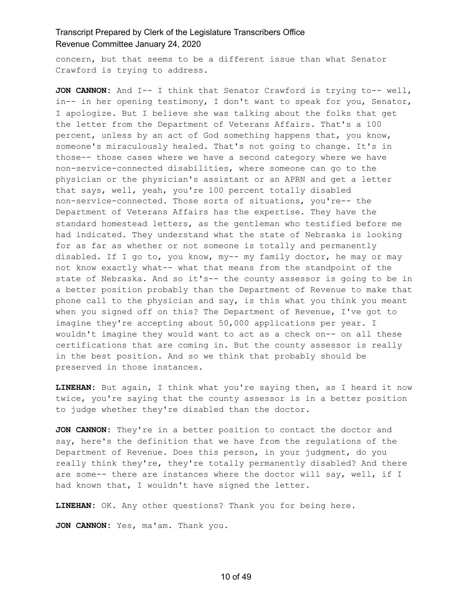concern, but that seems to be a different issue than what Senator Crawford is trying to address.

**JON CANNON:** And I-- I think that Senator Crawford is trying to-- well, in-- in her opening testimony, I don't want to speak for you, Senator, I apologize. But I believe she was talking about the folks that get the letter from the Department of Veterans Affairs. That's a 100 percent, unless by an act of God something happens that, you know, someone's miraculously healed. That's not going to change. It's in those-- those cases where we have a second category where we have non-service-connected disabilities, where someone can go to the physician or the physician's assistant or an APRN and get a letter that says, well, yeah, you're 100 percent totally disabled non-service-connected. Those sorts of situations, you're-- the Department of Veterans Affairs has the expertise. They have the standard homestead letters, as the gentleman who testified before me had indicated. They understand what the state of Nebraska is looking for as far as whether or not someone is totally and permanently disabled. If I go to, you know, my-- my family doctor, he may or may not know exactly what-- what that means from the standpoint of the state of Nebraska. And so it's-- the county assessor is going to be in a better position probably than the Department of Revenue to make that phone call to the physician and say, is this what you think you meant when you signed off on this? The Department of Revenue, I've got to imagine they're accepting about 50,000 applications per year. I wouldn't imagine they would want to act as a check on-- on all these certifications that are coming in. But the county assessor is really in the best position. And so we think that probably should be preserved in those instances.

**LINEHAN:** But again, I think what you're saying then, as I heard it now twice, you're saying that the county assessor is in a better position to judge whether they're disabled than the doctor.

**JON CANNON:** They're in a better position to contact the doctor and say, here's the definition that we have from the regulations of the Department of Revenue. Does this person, in your judgment, do you really think they're, they're totally permanently disabled? And there are some-- there are instances where the doctor will say, well, if I had known that, I wouldn't have signed the letter.

**LINEHAN:** OK. Any other questions? Thank you for being here.

**JON CANNON:** Yes, ma'am. Thank you.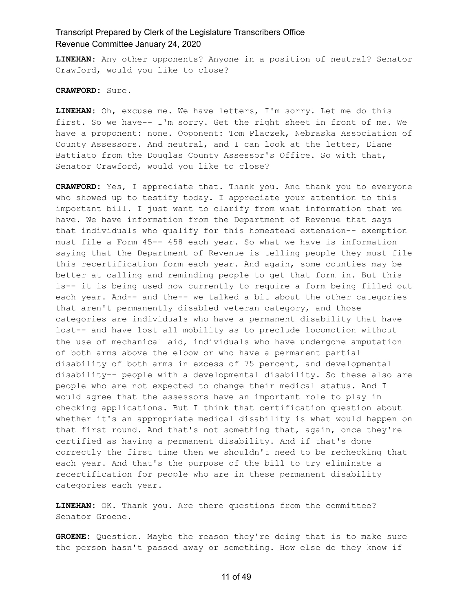**LINEHAN:** Any other opponents? Anyone in a position of neutral? Senator Crawford, would you like to close?

**CRAWFORD:** Sure.

**LINEHAN:** Oh, excuse me. We have letters, I'm sorry. Let me do this first. So we have-- I'm sorry. Get the right sheet in front of me. We have a proponent: none. Opponent: Tom Placzek, Nebraska Association of County Assessors. And neutral, and I can look at the letter, Diane Battiato from the Douglas County Assessor's Office. So with that, Senator Crawford, would you like to close?

**CRAWFORD:** Yes, I appreciate that. Thank you. And thank you to everyone who showed up to testify today. I appreciate your attention to this important bill. I just want to clarify from what information that we have. We have information from the Department of Revenue that says that individuals who qualify for this homestead extension-- exemption must file a Form 45-- 458 each year. So what we have is information saying that the Department of Revenue is telling people they must file this recertification form each year. And again, some counties may be better at calling and reminding people to get that form in. But this is-- it is being used now currently to require a form being filled out each year. And-- and the-- we talked a bit about the other categories that aren't permanently disabled veteran category, and those categories are individuals who have a permanent disability that have lost-- and have lost all mobility as to preclude locomotion without the use of mechanical aid, individuals who have undergone amputation of both arms above the elbow or who have a permanent partial disability of both arms in excess of 75 percent, and developmental disability-- people with a developmental disability. So these also are people who are not expected to change their medical status. And I would agree that the assessors have an important role to play in checking applications. But I think that certification question about whether it's an appropriate medical disability is what would happen on that first round. And that's not something that, again, once they're certified as having a permanent disability. And if that's done correctly the first time then we shouldn't need to be rechecking that each year. And that's the purpose of the bill to try eliminate a recertification for people who are in these permanent disability categories each year.

**LINEHAN:** OK. Thank you. Are there questions from the committee? Senator Groene.

**GROENE:** Question. Maybe the reason they're doing that is to make sure the person hasn't passed away or something. How else do they know if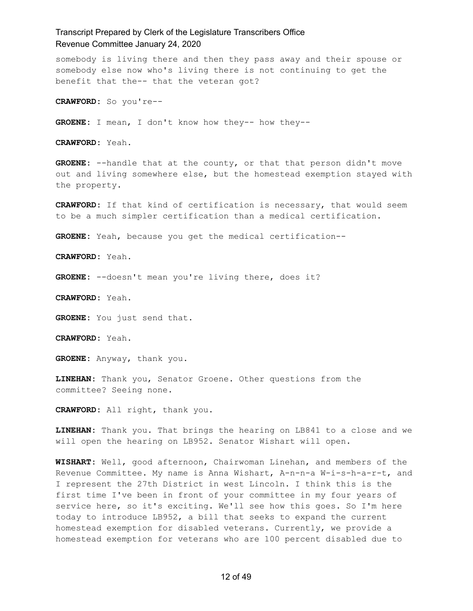somebody is living there and then they pass away and their spouse or somebody else now who's living there is not continuing to get the benefit that the-- that the veteran got?

**CRAWFORD:** So you're--

**GROENE:** I mean, I don't know how they-- how they--

**CRAWFORD:** Yeah.

**GROENE:** --handle that at the county, or that that person didn't move out and living somewhere else, but the homestead exemption stayed with the property.

**CRAWFORD:** If that kind of certification is necessary, that would seem to be a much simpler certification than a medical certification.

**GROENE:** Yeah, because you get the medical certification--

**CRAWFORD:** Yeah.

GROENE: --doesn't mean you're living there, does it?

**CRAWFORD:** Yeah.

**GROENE:** You just send that.

**CRAWFORD:** Yeah.

**GROENE:** Anyway, thank you.

**LINEHAN:** Thank you, Senator Groene. Other questions from the committee? Seeing none.

**CRAWFORD:** All right, thank you.

**LINEHAN:** Thank you. That brings the hearing on LB841 to a close and we will open the hearing on LB952. Senator Wishart will open.

**WISHART:** Well, good afternoon, Chairwoman Linehan, and members of the Revenue Committee. My name is Anna Wishart, A-n-n-a W-i-s-h-a-r-t, and I represent the 27th District in west Lincoln. I think this is the first time I've been in front of your committee in my four years of service here, so it's exciting. We'll see how this goes. So I'm here today to introduce LB952, a bill that seeks to expand the current homestead exemption for disabled veterans. Currently, we provide a homestead exemption for veterans who are 100 percent disabled due to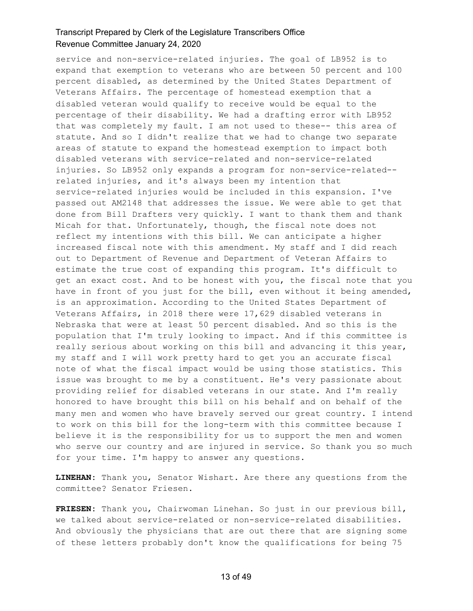service and non-service-related injuries. The goal of LB952 is to expand that exemption to veterans who are between 50 percent and 100 percent disabled, as determined by the United States Department of Veterans Affairs. The percentage of homestead exemption that a disabled veteran would qualify to receive would be equal to the percentage of their disability. We had a drafting error with LB952 that was completely my fault. I am not used to these-- this area of statute. And so I didn't realize that we had to change two separate areas of statute to expand the homestead exemption to impact both disabled veterans with service-related and non-service-related injuries. So LB952 only expands a program for non-service-related- related injuries, and it's always been my intention that service-related injuries would be included in this expansion. I've passed out AM2148 that addresses the issue. We were able to get that done from Bill Drafters very quickly. I want to thank them and thank Micah for that. Unfortunately, though, the fiscal note does not reflect my intentions with this bill. We can anticipate a higher increased fiscal note with this amendment. My staff and I did reach out to Department of Revenue and Department of Veteran Affairs to estimate the true cost of expanding this program. It's difficult to get an exact cost. And to be honest with you, the fiscal note that you have in front of you just for the bill, even without it being amended, is an approximation. According to the United States Department of Veterans Affairs, in 2018 there were 17,629 disabled veterans in Nebraska that were at least 50 percent disabled. And so this is the population that I'm truly looking to impact. And if this committee is really serious about working on this bill and advancing it this year, my staff and I will work pretty hard to get you an accurate fiscal note of what the fiscal impact would be using those statistics. This issue was brought to me by a constituent. He's very passionate about providing relief for disabled veterans in our state. And I'm really honored to have brought this bill on his behalf and on behalf of the many men and women who have bravely served our great country. I intend to work on this bill for the long-term with this committee because I believe it is the responsibility for us to support the men and women who serve our country and are injured in service. So thank you so much for your time. I'm happy to answer any questions.

**LINEHAN:** Thank you, Senator Wishart. Are there any questions from the committee? Senator Friesen.

**FRIESEN:** Thank you, Chairwoman Linehan. So just in our previous bill, we talked about service-related or non-service-related disabilities. And obviously the physicians that are out there that are signing some of these letters probably don't know the qualifications for being 75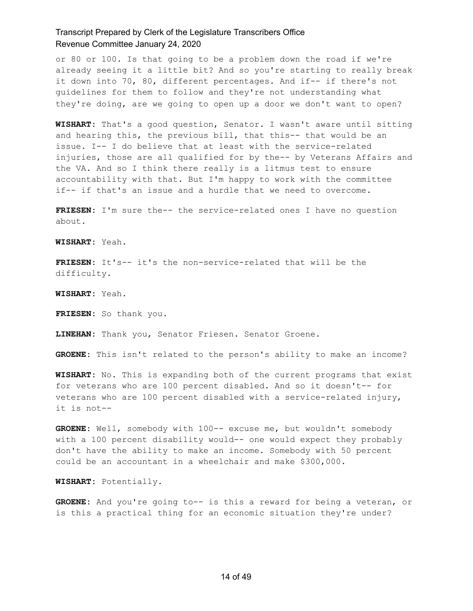or 80 or 100. Is that going to be a problem down the road if we're already seeing it a little bit? And so you're starting to really break it down into 70, 80, different percentages. And if-- if there's not guidelines for them to follow and they're not understanding what they're doing, are we going to open up a door we don't want to open?

**WISHART:** That's a good question, Senator. I wasn't aware until sitting and hearing this, the previous bill, that this-- that would be an issue. I-- I do believe that at least with the service-related injuries, those are all qualified for by the-- by Veterans Affairs and the VA. And so I think there really is a litmus test to ensure accountability with that. But I'm happy to work with the committee if-- if that's an issue and a hurdle that we need to overcome.

**FRIESEN:** I'm sure the-- the service-related ones I have no question about.

**WISHART:** Yeah.

**FRIESEN:** It's-- it's the non-service-related that will be the difficulty.

**WISHART:** Yeah.

**FRIESEN:** So thank you.

**LINEHAN:** Thank you, Senator Friesen. Senator Groene.

**GROENE:** This isn't related to the person's ability to make an income?

**WISHART:** No. This is expanding both of the current programs that exist for veterans who are 100 percent disabled. And so it doesn't-- for veterans who are 100 percent disabled with a service-related injury, it is not--

GROENE: Well, somebody with 100-- excuse me, but wouldn't somebody with a 100 percent disability would-- one would expect they probably don't have the ability to make an income. Somebody with 50 percent could be an accountant in a wheelchair and make \$300,000.

**WISHART:** Potentially.

**GROENE:** And you're going to-- is this a reward for being a veteran, or is this a practical thing for an economic situation they're under?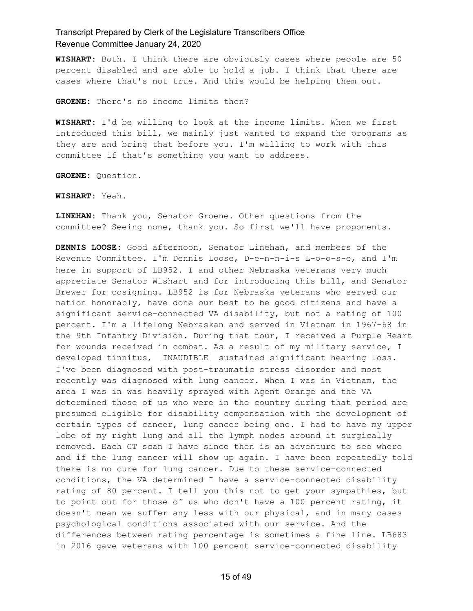**WISHART:** Both. I think there are obviously cases where people are 50 percent disabled and are able to hold a job. I think that there are cases where that's not true. And this would be helping them out.

**GROENE:** There's no income limits then?

**WISHART:** I'd be willing to look at the income limits. When we first introduced this bill, we mainly just wanted to expand the programs as they are and bring that before you. I'm willing to work with this committee if that's something you want to address.

**GROENE:** Question.

**WISHART:** Yeah.

**LINEHAN:** Thank you, Senator Groene. Other questions from the committee? Seeing none, thank you. So first we'll have proponents.

**DENNIS LOOSE:** Good afternoon, Senator Linehan, and members of the Revenue Committee. I'm Dennis Loose, D-e-n-n-i-s L-o-o-s-e, and I'm here in support of LB952. I and other Nebraska veterans very much appreciate Senator Wishart and for introducing this bill, and Senator Brewer for cosigning. LB952 is for Nebraska veterans who served our nation honorably, have done our best to be good citizens and have a significant service-connected VA disability, but not a rating of 100 percent. I'm a lifelong Nebraskan and served in Vietnam in 1967-68 in the 9th Infantry Division. During that tour, I received a Purple Heart for wounds received in combat. As a result of my military service, I developed tinnitus, [INAUDIBLE] sustained significant hearing loss. I've been diagnosed with post-traumatic stress disorder and most recently was diagnosed with lung cancer. When I was in Vietnam, the area I was in was heavily sprayed with Agent Orange and the VA determined those of us who were in the country during that period are presumed eligible for disability compensation with the development of certain types of cancer, lung cancer being one. I had to have my upper lobe of my right lung and all the lymph nodes around it surgically removed. Each CT scan I have since then is an adventure to see where and if the lung cancer will show up again. I have been repeatedly told there is no cure for lung cancer. Due to these service-connected conditions, the VA determined I have a service-connected disability rating of 80 percent. I tell you this not to get your sympathies, but to point out for those of us who don't have a 100 percent rating, it doesn't mean we suffer any less with our physical, and in many cases psychological conditions associated with our service. And the differences between rating percentage is sometimes a fine line. LB683 in 2016 gave veterans with 100 percent service-connected disability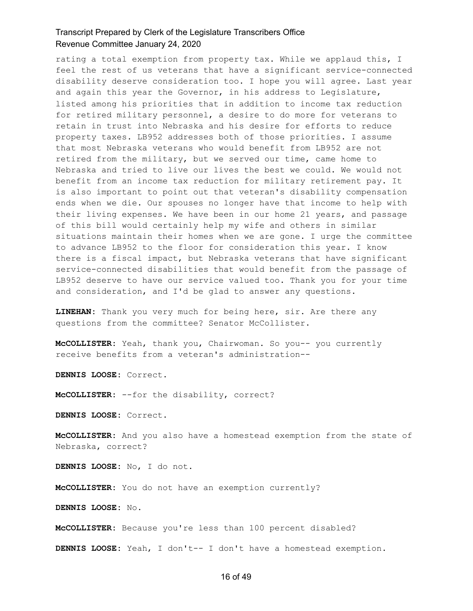rating a total exemption from property tax. While we applaud this, I feel the rest of us veterans that have a significant service-connected disability deserve consideration too. I hope you will agree. Last year and again this year the Governor, in his address to Legislature, listed among his priorities that in addition to income tax reduction for retired military personnel, a desire to do more for veterans to retain in trust into Nebraska and his desire for efforts to reduce property taxes. LB952 addresses both of those priorities. I assume that most Nebraska veterans who would benefit from LB952 are not retired from the military, but we served our time, came home to Nebraska and tried to live our lives the best we could. We would not benefit from an income tax reduction for military retirement pay. It is also important to point out that veteran's disability compensation ends when we die. Our spouses no longer have that income to help with their living expenses. We have been in our home 21 years, and passage of this bill would certainly help my wife and others in similar situations maintain their homes when we are gone. I urge the committee to advance LB952 to the floor for consideration this year. I know there is a fiscal impact, but Nebraska veterans that have significant service-connected disabilities that would benefit from the passage of LB952 deserve to have our service valued too. Thank you for your time and consideration, and I'd be glad to answer any questions.

**LINEHAN:** Thank you very much for being here, sir. Are there any questions from the committee? Senator McCollister.

**McCOLLISTER:** Yeah, thank you, Chairwoman. So you-- you currently receive benefits from a veteran's administration--

**DENNIS LOOSE:** Correct.

**McCOLLISTER:** --for the disability, correct?

**DENNIS LOOSE:** Correct.

**McCOLLISTER:** And you also have a homestead exemption from the state of Nebraska, correct?

**DENNIS LOOSE:** No, I do not.

**McCOLLISTER:** You do not have an exemption currently?

**DENNIS LOOSE:** No.

**McCOLLISTER:** Because you're less than 100 percent disabled?

**DENNIS LOOSE:** Yeah, I don't-- I don't have a homestead exemption.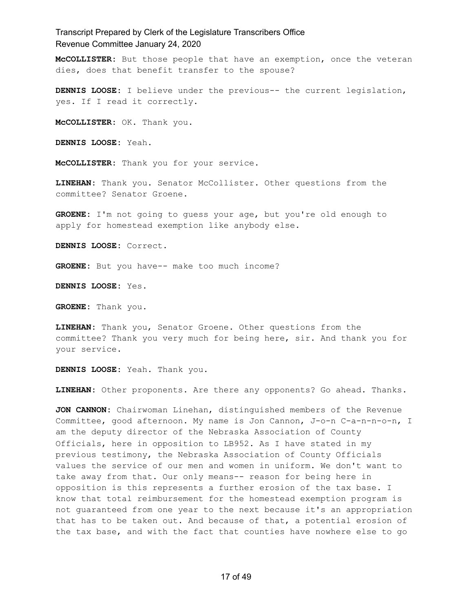**McCOLLISTER:** But those people that have an exemption, once the veteran dies, does that benefit transfer to the spouse?

**DENNIS LOOSE:** I believe under the previous-- the current legislation, yes. If I read it correctly.

**McCOLLISTER:** OK. Thank you.

**DENNIS LOOSE:** Yeah.

**McCOLLISTER:** Thank you for your service.

**LINEHAN:** Thank you. Senator McCollister. Other questions from the committee? Senator Groene.

**GROENE:** I'm not going to guess your age, but you're old enough to apply for homestead exemption like anybody else.

**DENNIS LOOSE:** Correct.

**GROENE:** But you have-- make too much income?

**DENNIS LOOSE:** Yes.

**GROENE:** Thank you.

**LINEHAN:** Thank you, Senator Groene. Other questions from the committee? Thank you very much for being here, sir. And thank you for your service.

**DENNIS LOOSE:** Yeah. Thank you.

**LINEHAN:** Other proponents. Are there any opponents? Go ahead. Thanks.

**JON CANNON:** Chairwoman Linehan, distinguished members of the Revenue Committee, good afternoon. My name is Jon Cannon, J-o-n C-a-n-n-o-n, I am the deputy director of the Nebraska Association of County Officials, here in opposition to LB952. As I have stated in my previous testimony, the Nebraska Association of County Officials values the service of our men and women in uniform. We don't want to take away from that. Our only means-- reason for being here in opposition is this represents a further erosion of the tax base. I know that total reimbursement for the homestead exemption program is not guaranteed from one year to the next because it's an appropriation that has to be taken out. And because of that, a potential erosion of the tax base, and with the fact that counties have nowhere else to go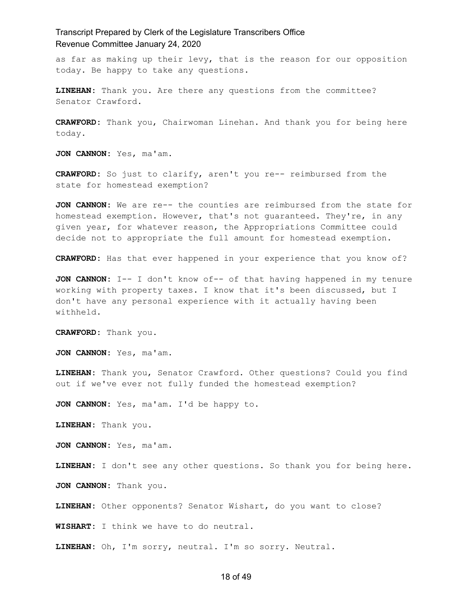as far as making up their levy, that is the reason for our opposition today. Be happy to take any questions.

**LINEHAN:** Thank you. Are there any questions from the committee? Senator Crawford.

**CRAWFORD:** Thank you, Chairwoman Linehan. And thank you for being here today.

**JON CANNON:** Yes, ma'am.

**CRAWFORD:** So just to clarify, aren't you re-- reimbursed from the state for homestead exemption?

**JON CANNON:** We are re-- the counties are reimbursed from the state for homestead exemption. However, that's not guaranteed. They're, in any given year, for whatever reason, the Appropriations Committee could decide not to appropriate the full amount for homestead exemption.

**CRAWFORD:** Has that ever happened in your experience that you know of?

**JON CANNON:** I-- I don't know of-- of that having happened in my tenure working with property taxes. I know that it's been discussed, but I don't have any personal experience with it actually having been withheld.

**CRAWFORD:** Thank you.

**JON CANNON:** Yes, ma'am.

**LINEHAN:** Thank you, Senator Crawford. Other questions? Could you find out if we've ever not fully funded the homestead exemption?

**JON CANNON:** Yes, ma'am. I'd be happy to.

**LINEHAN:** Thank you.

**JON CANNON:** Yes, ma'am.

**LINEHAN:** I don't see any other questions. So thank you for being here.

**JON CANNON:** Thank you.

**LINEHAN:** Other opponents? Senator Wishart, do you want to close?

**WISHART:** I think we have to do neutral.

**LINEHAN:** Oh, I'm sorry, neutral. I'm so sorry. Neutral.

#### 18 of 49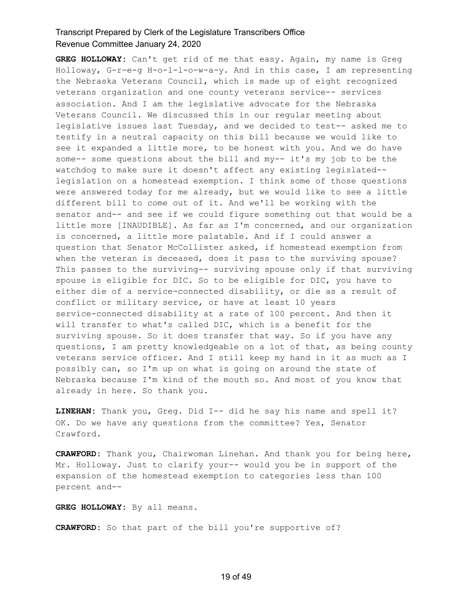**GREG HOLLOWAY:** Can't get rid of me that easy. Again, my name is Greg Holloway, G-r-e-g H-o-l-l-o-w-a-y. And in this case, I am representing the Nebraska Veterans Council, which is made up of eight recognized veterans organization and one county veterans service-- services association. And I am the legislative advocate for the Nebraska Veterans Council. We discussed this in our regular meeting about legislative issues last Tuesday, and we decided to test-- asked me to testify in a neutral capacity on this bill because we would like to see it expanded a little more, to be honest with you. And we do have some-- some questions about the bill and my-- it's my job to be the watchdog to make sure it doesn't affect any existing legislated- legislation on a homestead exemption. I think some of those questions were answered today for me already, but we would like to see a little different bill to come out of it. And we'll be working with the senator and-- and see if we could figure something out that would be a little more [INAUDIBLE]. As far as I'm concerned, and our organization is concerned, a little more palatable. And if I could answer a question that Senator McCollister asked, if homestead exemption from when the veteran is deceased, does it pass to the surviving spouse? This passes to the surviving-- surviving spouse only if that surviving spouse is eligible for DIC. So to be eligible for DIC, you have to either die of a service-connected disability, or die as a result of conflict or military service, or have at least 10 years service-connected disability at a rate of 100 percent. And then it will transfer to what's called DIC, which is a benefit for the surviving spouse. So it does transfer that way. So if you have any questions, I am pretty knowledgeable on a lot of that, as being county veterans service officer. And I still keep my hand in it as much as I possibly can, so I'm up on what is going on around the state of Nebraska because I'm kind of the mouth so. And most of you know that already in here. So thank you.

**LINEHAN:** Thank you, Greg. Did I-- did he say his name and spell it? OK. Do we have any questions from the committee? Yes, Senator Crawford.

**CRAWFORD:** Thank you, Chairwoman Linehan. And thank you for being here, Mr. Holloway. Just to clarify your-- would you be in support of the expansion of the homestead exemption to categories less than 100 percent and--

**GREG HOLLOWAY:** By all means.

**CRAWFORD:** So that part of the bill you're supportive of?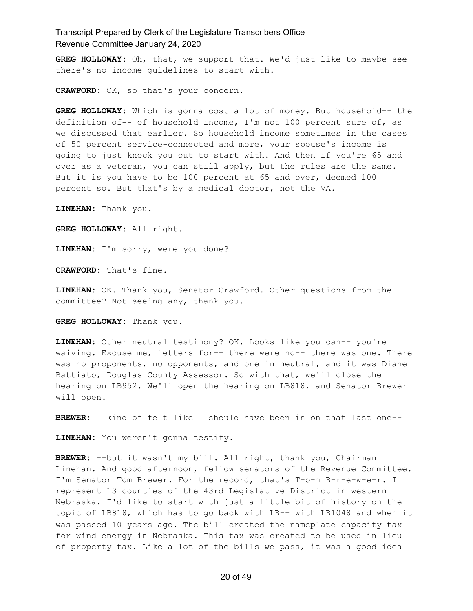**GREG HOLLOWAY:** Oh, that, we support that. We'd just like to maybe see there's no income guidelines to start with.

**CRAWFORD:** OK, so that's your concern.

**GREG HOLLOWAY:** Which is gonna cost a lot of money. But household-- the definition of-- of household income, I'm not 100 percent sure of, as we discussed that earlier. So household income sometimes in the cases of 50 percent service-connected and more, your spouse's income is going to just knock you out to start with. And then if you're 65 and over as a veteran, you can still apply, but the rules are the same. But it is you have to be 100 percent at 65 and over, deemed 100 percent so. But that's by a medical doctor, not the VA.

**LINEHAN:** Thank you.

**GREG HOLLOWAY:** All right.

**LINEHAN:** I'm sorry, were you done?

**CRAWFORD:** That's fine.

**LINEHAN:** OK. Thank you, Senator Crawford. Other questions from the committee? Not seeing any, thank you.

**GREG HOLLOWAY:** Thank you.

**LINEHAN:** Other neutral testimony? OK. Looks like you can-- you're waiving. Excuse me, letters for-- there were no-- there was one. There was no proponents, no opponents, and one in neutral, and it was Diane Battiato, Douglas County Assessor. So with that, we'll close the hearing on LB952. We'll open the hearing on LB818, and Senator Brewer will open.

**BREWER:** I kind of felt like I should have been in on that last one--

**LINEHAN:** You weren't gonna testify.

**BREWER:** --but it wasn't my bill. All right, thank you, Chairman Linehan. And good afternoon, fellow senators of the Revenue Committee. I'm Senator Tom Brewer. For the record, that's T-o-m B-r-e-w-e-r. I represent 13 counties of the 43rd Legislative District in western Nebraska. I'd like to start with just a little bit of history on the topic of LB818, which has to go back with LB-- with LB1048 and when it was passed 10 years ago. The bill created the nameplate capacity tax for wind energy in Nebraska. This tax was created to be used in lieu of property tax. Like a lot of the bills we pass, it was a good idea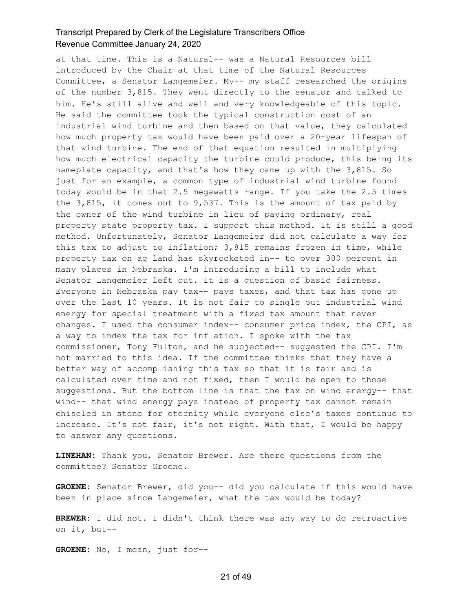at that time. This is a Natural-- was a Natural Resources bill introduced by the Chair at that time of the Natural Resources Committee, a Senator Langemeier. My-- my staff researched the origins of the number 3,815. They went directly to the senator and talked to him. He's still alive and well and very knowledgeable of this topic. He said the committee took the typical construction cost of an industrial wind turbine and then based on that value, they calculated how much property tax would have been paid over a 20-year lifespan of that wind turbine. The end of that equation resulted in multiplying how much electrical capacity the turbine could produce, this being its nameplate capacity, and that's how they came up with the 3,815. So just for an example, a common type of industrial wind turbine found today would be in that 2.5 megawatts range. If you take the 2.5 times the  $3,815$ , it comes out to  $9,537$ . This is the amount of tax paid by the owner of the wind turbine in lieu of paying ordinary, real property state property tax. I support this method. It is still a good method. Unfortunately, Senator Langemeier did not calculate a way for this tax to adjust to inflation; 3,815 remains frozen in time, while property tax on ag land has skyrocketed in-- to over 300 percent in many places in Nebraska. I'm introducing a bill to include what Senator Langemeier left out. It is a question of basic fairness. Everyone in Nebraska pay tax-- pays taxes, and that tax has gone up over the last 10 years. It is not fair to single out industrial wind energy for special treatment with a fixed tax amount that never changes. I used the consumer index-- consumer price index, the CPI, as a way to index the tax for inflation. I spoke with the tax commissioner, Tony Fulton, and he subjected-- suggested the CPI. I'm not married to this idea. If the committee thinks that they have a better way of accomplishing this tax so that it is fair and is calculated over time and not fixed, then I would be open to those suggestions. But the bottom line is that the tax on wind energy-- that wind-- that wind energy pays instead of property tax cannot remain chiseled in stone for eternity while everyone else's taxes continue to increase. It's not fair, it's not right. With that, I would be happy to answer any questions.

**LINEHAN:** Thank you, Senator Brewer. Are there questions from the committee? Senator Groene.

**GROENE:** Senator Brewer, did you-- did you calculate if this would have been in place since Langemeier, what the tax would be today?

**BREWER:** I did not. I didn't think there was any way to do retroactive on it, but--

**GROENE:** No, I mean, just for--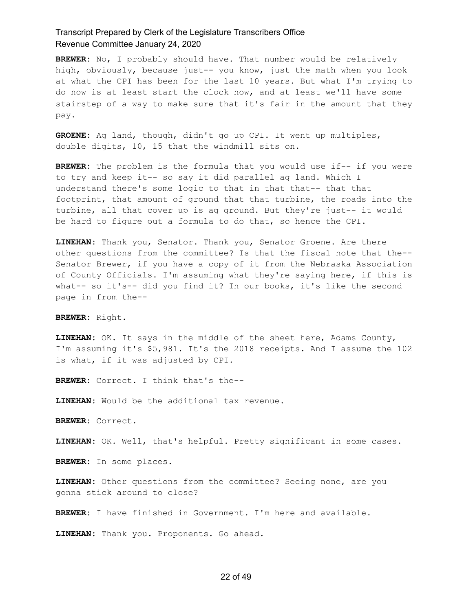**BREWER:** No, I probably should have. That number would be relatively high, obviously, because just-- you know, just the math when you look at what the CPI has been for the last 10 years. But what I'm trying to do now is at least start the clock now, and at least we'll have some stairstep of a way to make sure that it's fair in the amount that they pay.

**GROENE:** Ag land, though, didn't go up CPI. It went up multiples, double digits, 10, 15 that the windmill sits on.

**BREWER:** The problem is the formula that you would use if-- if you were to try and keep it-- so say it did parallel ag land. Which I understand there's some logic to that in that that-- that that footprint, that amount of ground that that turbine, the roads into the turbine, all that cover up is ag ground. But they're just-- it would be hard to figure out a formula to do that, so hence the CPI.

**LINEHAN:** Thank you, Senator. Thank you, Senator Groene. Are there other questions from the committee? Is that the fiscal note that the-- Senator Brewer, if you have a copy of it from the Nebraska Association of County Officials. I'm assuming what they're saying here, if this is what-- so it's-- did you find it? In our books, it's like the second page in from the--

**BREWER:** Right.

**LINEHAN:** OK. It says in the middle of the sheet here, Adams County, I'm assuming it's \$5,981. It's the 2018 receipts. And I assume the 102 is what, if it was adjusted by CPI.

**BREWER:** Correct. I think that's the--

**LINEHAN:** Would be the additional tax revenue.

**BREWER:** Correct.

**LINEHAN:** OK. Well, that's helpful. Pretty significant in some cases.

**BREWER:** In some places.

**LINEHAN:** Other questions from the committee? Seeing none, are you gonna stick around to close?

**BREWER:** I have finished in Government. I'm here and available.

**LINEHAN:** Thank you. Proponents. Go ahead.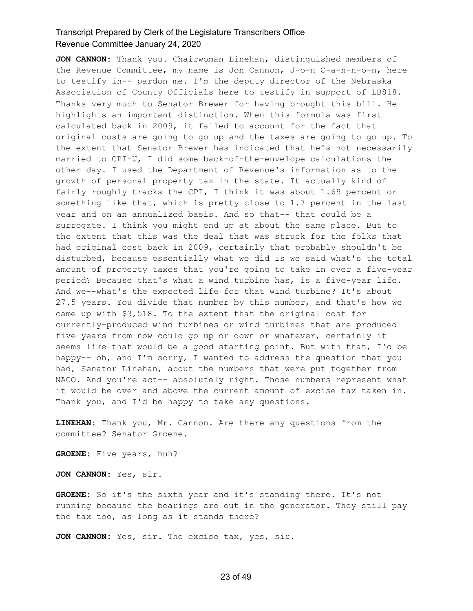**JON CANNON:** Thank you. Chairwoman Linehan, distinguished members of the Revenue Committee, my name is Jon Cannon, J-o-n C-a-n-n-o-n, here to testify in-- pardon me. I'm the deputy director of the Nebraska Association of County Officials here to testify in support of LB818. Thanks very much to Senator Brewer for having brought this bill. He highlights an important distinction. When this formula was first calculated back in 2009, it failed to account for the fact that original costs are going to go up and the taxes are going to go up. To the extent that Senator Brewer has indicated that he's not necessarily married to CPI-U, I did some back-of-the-envelope calculations the other day. I used the Department of Revenue's information as to the growth of personal property tax in the state. It actually kind of fairly roughly tracks the CPI, I think it was about 1.69 percent or something like that, which is pretty close to 1.7 percent in the last year and on an annualized basis. And so that-- that could be a surrogate. I think you might end up at about the same place. But to the extent that this was the deal that was struck for the folks that had original cost back in 2009, certainly that probably shouldn't be disturbed, because essentially what we did is we said what's the total amount of property taxes that you're going to take in over a five-year period? Because that's what a wind turbine has, is a five-year life. And we--what's the expected life for that wind turbine? It's about 27.5 years. You divide that number by this number, and that's how we came up with \$3,518. To the extent that the original cost for currently-produced wind turbines or wind turbines that are produced five years from now could go up or down or whatever, certainly it seems like that would be a good starting point. But with that, I'd be happy-- oh, and I'm sorry, I wanted to address the question that you had, Senator Linehan, about the numbers that were put together from NACO. And you're act-- absolutely right. Those numbers represent what it would be over and above the current amount of excise tax taken in. Thank you, and I'd be happy to take any questions.

**LINEHAN:** Thank you, Mr. Cannon. Are there any questions from the committee? Senator Groene.

**GROENE:** Five years, huh?

**JON CANNON:** Yes, sir.

**GROENE:** So it's the sixth year and it's standing there. It's not running because the bearings are out in the generator. They still pay the tax too, as long as it stands there?

**JON CANNON:** Yes, sir. The excise tax, yes, sir.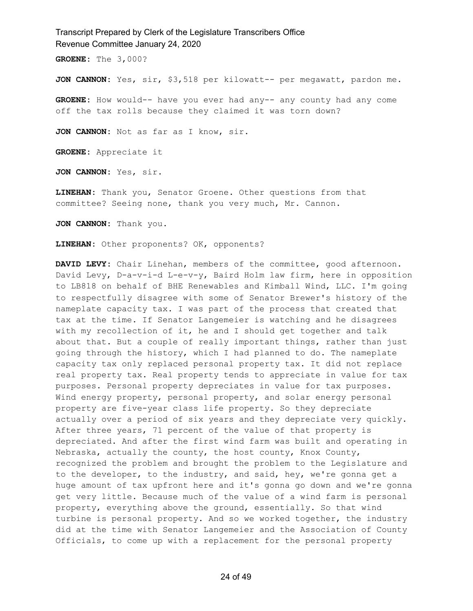**GROENE:** The 3,000?

**JON CANNON:** Yes, sir, \$3,518 per kilowatt-- per megawatt, pardon me.

**GROENE:** How would-- have you ever had any-- any county had any come off the tax rolls because they claimed it was torn down?

**JON CANNON:** Not as far as I know, sir.

**GROENE:** Appreciate it

**JON CANNON:** Yes, sir.

**LINEHAN:** Thank you, Senator Groene. Other questions from that committee? Seeing none, thank you very much, Mr. Cannon.

**JON CANNON:** Thank you.

**LINEHAN:** Other proponents? OK, opponents?

**DAVID LEVY:** Chair Linehan, members of the committee, good afternoon. David Levy, D-a-v-i-d L-e-v-y, Baird Holm law firm, here in opposition to LB818 on behalf of BHE Renewables and Kimball Wind, LLC. I'm going to respectfully disagree with some of Senator Brewer's history of the nameplate capacity tax. I was part of the process that created that tax at the time. If Senator Langemeier is watching and he disagrees with my recollection of it, he and I should get together and talk about that. But a couple of really important things, rather than just going through the history, which I had planned to do. The nameplate capacity tax only replaced personal property tax. It did not replace real property tax. Real property tends to appreciate in value for tax purposes. Personal property depreciates in value for tax purposes. Wind energy property, personal property, and solar energy personal property are five-year class life property. So they depreciate actually over a period of six years and they depreciate very quickly. After three years, 71 percent of the value of that property is depreciated. And after the first wind farm was built and operating in Nebraska, actually the county, the host county, Knox County, recognized the problem and brought the problem to the Legislature and to the developer, to the industry, and said, hey, we're gonna get a huge amount of tax upfront here and it's gonna go down and we're gonna get very little. Because much of the value of a wind farm is personal property, everything above the ground, essentially. So that wind turbine is personal property. And so we worked together, the industry did at the time with Senator Langemeier and the Association of County Officials, to come up with a replacement for the personal property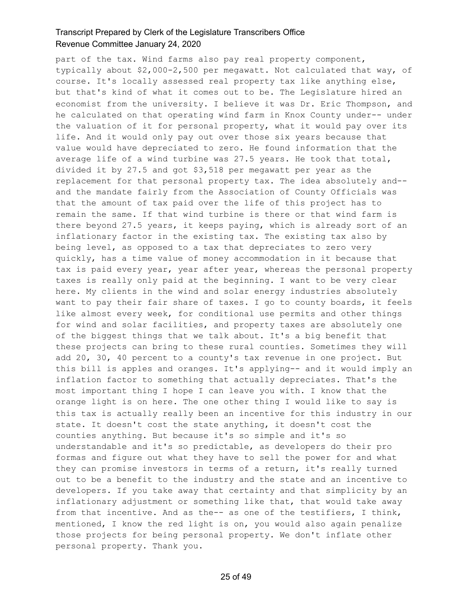part of the tax. Wind farms also pay real property component, typically about \$2,000-2,500 per megawatt. Not calculated that way, of course. It's locally assessed real property tax like anything else, but that's kind of what it comes out to be. The Legislature hired an economist from the university. I believe it was Dr. Eric Thompson, and he calculated on that operating wind farm in Knox County under-- under the valuation of it for personal property, what it would pay over its life. And it would only pay out over those six years because that value would have depreciated to zero. He found information that the average life of a wind turbine was 27.5 years. He took that total, divided it by 27.5 and got \$3,518 per megawatt per year as the replacement for that personal property tax. The idea absolutely and- and the mandate fairly from the Association of County Officials was that the amount of tax paid over the life of this project has to remain the same. If that wind turbine is there or that wind farm is there beyond 27.5 years, it keeps paying, which is already sort of an inflationary factor in the existing tax. The existing tax also by being level, as opposed to a tax that depreciates to zero very quickly, has a time value of money accommodation in it because that tax is paid every year, year after year, whereas the personal property taxes is really only paid at the beginning. I want to be very clear here. My clients in the wind and solar energy industries absolutely want to pay their fair share of taxes. I go to county boards, it feels like almost every week, for conditional use permits and other things for wind and solar facilities, and property taxes are absolutely one of the biggest things that we talk about. It's a big benefit that these projects can bring to these rural counties. Sometimes they will add 20, 30, 40 percent to a county's tax revenue in one project. But this bill is apples and oranges. It's applying-- and it would imply an inflation factor to something that actually depreciates. That's the most important thing I hope I can leave you with. I know that the orange light is on here. The one other thing I would like to say is this tax is actually really been an incentive for this industry in our state. It doesn't cost the state anything, it doesn't cost the counties anything. But because it's so simple and it's so understandable and it's so predictable, as developers do their pro formas and figure out what they have to sell the power for and what they can promise investors in terms of a return, it's really turned out to be a benefit to the industry and the state and an incentive to developers. If you take away that certainty and that simplicity by an inflationary adjustment or something like that, that would take away from that incentive. And as the-- as one of the testifiers, I think, mentioned, I know the red light is on, you would also again penalize those projects for being personal property. We don't inflate other personal property. Thank you.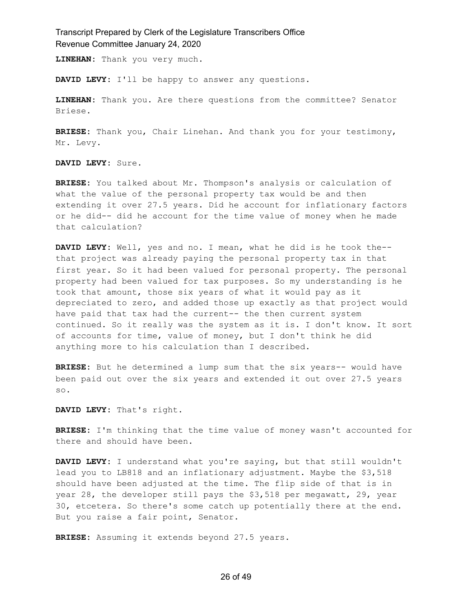**LINEHAN:** Thank you very much.

**DAVID LEVY:** I'll be happy to answer any questions.

**LINEHAN:** Thank you. Are there questions from the committee? Senator Briese.

**BRIESE:** Thank you, Chair Linehan. And thank you for your testimony, Mr. Levy.

**DAVID LEVY:** Sure.

**BRIESE:** You talked about Mr. Thompson's analysis or calculation of what the value of the personal property tax would be and then extending it over 27.5 years. Did he account for inflationary factors or he did-- did he account for the time value of money when he made that calculation?

**DAVID LEVY:** Well, yes and no. I mean, what he did is he took the- that project was already paying the personal property tax in that first year. So it had been valued for personal property. The personal property had been valued for tax purposes. So my understanding is he took that amount, those six years of what it would pay as it depreciated to zero, and added those up exactly as that project would have paid that tax had the current-- the then current system continued. So it really was the system as it is. I don't know. It sort of accounts for time, value of money, but I don't think he did anything more to his calculation than I described.

**BRIESE:** But he determined a lump sum that the six years-- would have been paid out over the six years and extended it out over 27.5 years so.

**DAVID LEVY:** That's right.

**BRIESE:** I'm thinking that the time value of money wasn't accounted for there and should have been.

**DAVID LEVY:** I understand what you're saying, but that still wouldn't lead you to LB818 and an inflationary adjustment. Maybe the \$3,518 should have been adjusted at the time. The flip side of that is in year 28, the developer still pays the \$3,518 per megawatt, 29, year 30, etcetera. So there's some catch up potentially there at the end. But you raise a fair point, Senator.

**BRIESE:** Assuming it extends beyond 27.5 years.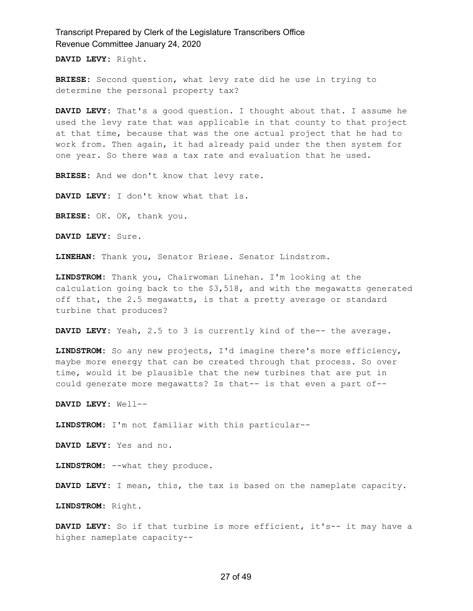**DAVID LEVY:** Right.

**BRIESE:** Second question, what levy rate did he use in trying to determine the personal property tax?

**DAVID LEVY:** That's a good question. I thought about that. I assume he used the levy rate that was applicable in that county to that project at that time, because that was the one actual project that he had to work from. Then again, it had already paid under the then system for one year. So there was a tax rate and evaluation that he used.

**BRIESE:** And we don't know that levy rate.

**DAVID LEVY:** I don't know what that is.

**BRIESE:** OK. OK, thank you.

**DAVID LEVY:** Sure.

**LINEHAN:** Thank you, Senator Briese. Senator Lindstrom.

**LINDSTROM:** Thank you, Chairwoman Linehan. I'm looking at the calculation going back to the \$3,518, and with the megawatts generated off that, the 2.5 megawatts, is that a pretty average or standard turbine that produces?

**DAVID LEVY:** Yeah, 2.5 to 3 is currently kind of the-- the average.

**LINDSTROM:** So any new projects, I'd imagine there's more efficiency, maybe more energy that can be created through that process. So over time, would it be plausible that the new turbines that are put in could generate more megawatts? Is that-- is that even a part of--

**DAVID LEVY:** Well--

**LINDSTROM:** I'm not familiar with this particular--

**DAVID LEVY:** Yes and no.

**LINDSTROM:** --what they produce.

**DAVID LEVY:** I mean, this, the tax is based on the nameplate capacity.

**LINDSTROM:** Right.

**DAVID LEVY:** So if that turbine is more efficient, it's-- it may have a higher nameplate capacity--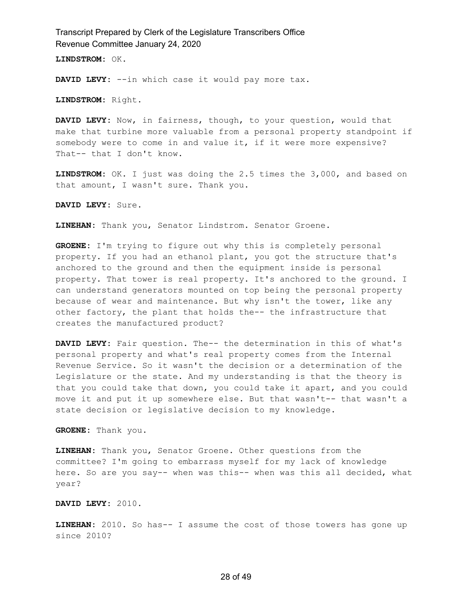**LINDSTROM:** OK.

**DAVID LEVY:** --in which case it would pay more tax.

**LINDSTROM:** Right.

**DAVID LEVY:** Now, in fairness, though, to your question, would that make that turbine more valuable from a personal property standpoint if somebody were to come in and value it, if it were more expensive? That-- that I don't know.

**LINDSTROM:** OK. I just was doing the 2.5 times the 3,000, and based on that amount, I wasn't sure. Thank you.

**DAVID LEVY:** Sure.

**LINEHAN:** Thank you, Senator Lindstrom. Senator Groene.

**GROENE:** I'm trying to figure out why this is completely personal property. If you had an ethanol plant, you got the structure that's anchored to the ground and then the equipment inside is personal property. That tower is real property. It's anchored to the ground. I can understand generators mounted on top being the personal property because of wear and maintenance. But why isn't the tower, like any other factory, the plant that holds the-- the infrastructure that creates the manufactured product?

**DAVID LEVY:** Fair question. The-- the determination in this of what's personal property and what's real property comes from the Internal Revenue Service. So it wasn't the decision or a determination of the Legislature or the state. And my understanding is that the theory is that you could take that down, you could take it apart, and you could move it and put it up somewhere else. But that wasn't-- that wasn't a state decision or legislative decision to my knowledge.

**GROENE:** Thank you.

**LINEHAN:** Thank you, Senator Groene. Other questions from the committee? I'm going to embarrass myself for my lack of knowledge here. So are you say-- when was this-- when was this all decided, what year?

**DAVID LEVY:** 2010.

**LINEHAN:** 2010. So has-- I assume the cost of those towers has gone up since 2010?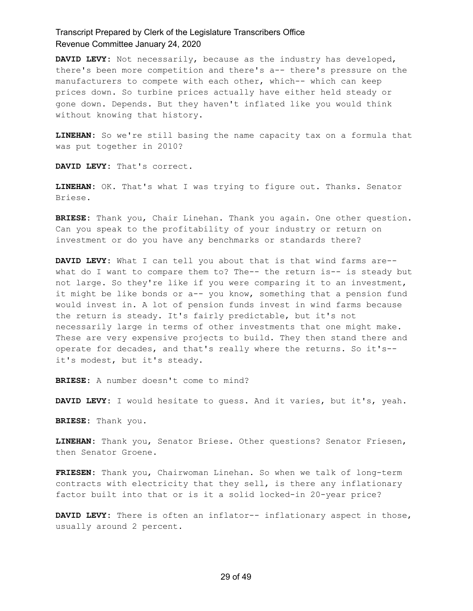**DAVID LEVY:** Not necessarily, because as the industry has developed, there's been more competition and there's a-- there's pressure on the manufacturers to compete with each other, which-- which can keep prices down. So turbine prices actually have either held steady or gone down. Depends. But they haven't inflated like you would think without knowing that history.

**LINEHAN:** So we're still basing the name capacity tax on a formula that was put together in 2010?

**DAVID LEVY:** That's correct.

**LINEHAN:** OK. That's what I was trying to figure out. Thanks. Senator Briese.

**BRIESE:** Thank you, Chair Linehan. Thank you again. One other question. Can you speak to the profitability of your industry or return on investment or do you have any benchmarks or standards there?

**DAVID LEVY:** What I can tell you about that is that wind farms are- what do I want to compare them to? The-- the return is-- is steady but not large. So they're like if you were comparing it to an investment, it might be like bonds or a-- you know, something that a pension fund would invest in. A lot of pension funds invest in wind farms because the return is steady. It's fairly predictable, but it's not necessarily large in terms of other investments that one might make. These are very expensive projects to build. They then stand there and operate for decades, and that's really where the returns. So it's- it's modest, but it's steady.

**BRIESE:** A number doesn't come to mind?

**DAVID LEVY:** I would hesitate to guess. And it varies, but it's, yeah.

**BRIESE:** Thank you.

**LINEHAN:** Thank you, Senator Briese. Other questions? Senator Friesen, then Senator Groene.

**FRIESEN:** Thank you, Chairwoman Linehan. So when we talk of long-term contracts with electricity that they sell, is there any inflationary factor built into that or is it a solid locked-in 20-year price?

**DAVID LEVY:** There is often an inflator-- inflationary aspect in those, usually around 2 percent.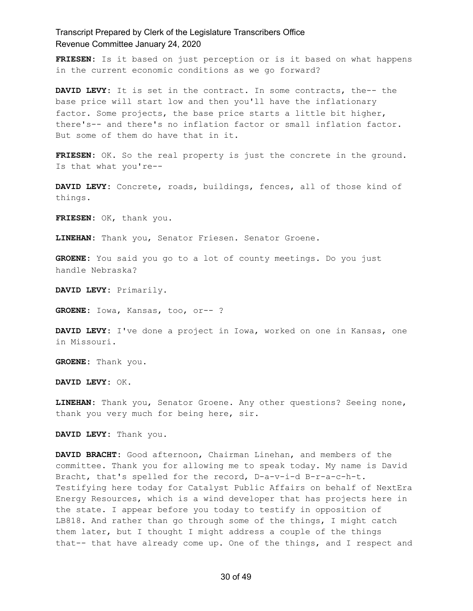**FRIESEN:** Is it based on just perception or is it based on what happens in the current economic conditions as we go forward?

**DAVID LEVY:** It is set in the contract. In some contracts, the-- the base price will start low and then you'll have the inflationary factor. Some projects, the base price starts a little bit higher, there's-- and there's no inflation factor or small inflation factor. But some of them do have that in it.

**FRIESEN:** OK. So the real property is just the concrete in the ground. Is that what you're--

**DAVID LEVY:** Concrete, roads, buildings, fences, all of those kind of things.

**FRIESEN:** OK, thank you.

**LINEHAN:** Thank you, Senator Friesen. Senator Groene.

**GROENE:** You said you go to a lot of county meetings. Do you just handle Nebraska?

**DAVID LEVY:** Primarily.

**GROENE:** Iowa, Kansas, too, or-- ?

**DAVID LEVY:** I've done a project in Iowa, worked on one in Kansas, one in Missouri.

**GROENE:** Thank you.

**DAVID LEVY:** OK.

**LINEHAN:** Thank you, Senator Groene. Any other questions? Seeing none, thank you very much for being here, sir.

**DAVID LEVY:** Thank you.

**DAVID BRACHT:** Good afternoon, Chairman Linehan, and members of the committee. Thank you for allowing me to speak today. My name is David Bracht, that's spelled for the record, D-a-v-i-d B-r-a-c-h-t. Testifying here today for Catalyst Public Affairs on behalf of NextEra Energy Resources, which is a wind developer that has projects here in the state. I appear before you today to testify in opposition of LB818. And rather than go through some of the things, I might catch them later, but I thought I might address a couple of the things that-- that have already come up. One of the things, and I respect and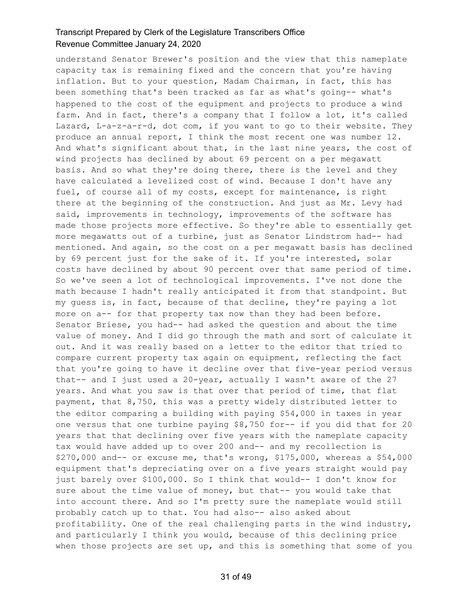understand Senator Brewer's position and the view that this nameplate capacity tax is remaining fixed and the concern that you're having inflation. But to your question, Madam Chairman, in fact, this has been something that's been tracked as far as what's going-- what's happened to the cost of the equipment and projects to produce a wind farm. And in fact, there's a company that I follow a lot, it's called Lazard, L-a-z-a-r-d, dot com, if you want to go to their website. They produce an annual report, I think the most recent one was number 12. And what's significant about that, in the last nine years, the cost of wind projects has declined by about 69 percent on a per megawatt basis. And so what they're doing there, there is the level and they have calculated a levelized cost of wind. Because I don't have any fuel, of course all of my costs, except for maintenance, is right there at the beginning of the construction. And just as Mr. Levy had said, improvements in technology, improvements of the software has made those projects more effective. So they're able to essentially get more megawatts out of a turbine, just as Senator Lindstrom had-- had mentioned. And again, so the cost on a per megawatt basis has declined by 69 percent just for the sake of it. If you're interested, solar costs have declined by about 90 percent over that same period of time. So we've seen a lot of technological improvements. I've not done the math because I hadn't really anticipated it from that standpoint. But my guess is, in fact, because of that decline, they're paying a lot more on a-- for that property tax now than they had been before. Senator Briese, you had-- had asked the question and about the time value of money. And I did go through the math and sort of calculate it out. And it was really based on a letter to the editor that tried to compare current property tax again on equipment, reflecting the fact that you're going to have it decline over that five-year period versus that-- and I just used a 20-year, actually I wasn't aware of the 27 years. And what you saw is that over that period of time, that flat payment, that 8,750, this was a pretty widely distributed letter to the editor comparing a building with paying \$54,000 in taxes in year one versus that one turbine paying \$8,750 for-- if you did that for 20 years that that declining over five years with the nameplate capacity tax would have added up to over 200 and-- and my recollection is \$270,000 and-- or excuse me, that's wrong, \$175,000, whereas a \$54,000 equipment that's depreciating over on a five years straight would pay just barely over \$100,000. So I think that would-- I don't know for sure about the time value of money, but that-- you would take that into account there. And so I'm pretty sure the nameplate would still probably catch up to that. You had also-- also asked about profitability. One of the real challenging parts in the wind industry, and particularly I think you would, because of this declining price when those projects are set up, and this is something that some of you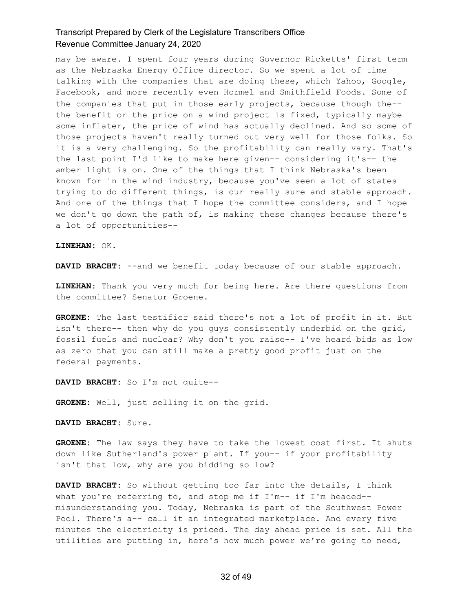may be aware. I spent four years during Governor Ricketts' first term as the Nebraska Energy Office director. So we spent a lot of time talking with the companies that are doing these, which Yahoo, Google, Facebook, and more recently even Hormel and Smithfield Foods. Some of the companies that put in those early projects, because though the- the benefit or the price on a wind project is fixed, typically maybe some inflater, the price of wind has actually declined. And so some of those projects haven't really turned out very well for those folks. So it is a very challenging. So the profitability can really vary. That's the last point I'd like to make here given-- considering it's-- the amber light is on. One of the things that I think Nebraska's been known for in the wind industry, because you've seen a lot of states trying to do different things, is our really sure and stable approach. And one of the things that I hope the committee considers, and I hope we don't go down the path of, is making these changes because there's a lot of opportunities--

**LINEHAN:** OK.

**DAVID BRACHT:** --and we benefit today because of our stable approach.

**LINEHAN:** Thank you very much for being here. Are there questions from the committee? Senator Groene.

**GROENE:** The last testifier said there's not a lot of profit in it. But isn't there-- then why do you guys consistently underbid on the grid, fossil fuels and nuclear? Why don't you raise-- I've heard bids as low as zero that you can still make a pretty good profit just on the federal payments.

**DAVID BRACHT:** So I'm not quite--

**GROENE:** Well, just selling it on the grid.

**DAVID BRACHT:** Sure.

**GROENE:** The law says they have to take the lowest cost first. It shuts down like Sutherland's power plant. If you-- if your profitability isn't that low, why are you bidding so low?

**DAVID BRACHT:** So without getting too far into the details, I think what you're referring to, and stop me if I'm-- if I'm headed-misunderstanding you. Today, Nebraska is part of the Southwest Power Pool. There's a-- call it an integrated marketplace. And every five minutes the electricity is priced. The day ahead price is set. All the utilities are putting in, here's how much power we're going to need,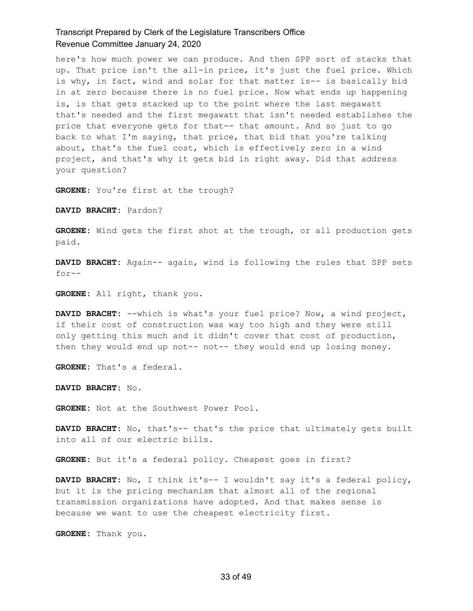here's how much power we can produce. And then SPP sort of stacks that up. That price isn't the all-in price, it's just the fuel price. Which is why, in fact, wind and solar for that matter is-- is basically bid in at zero because there is no fuel price. Now what ends up happening is, is that gets stacked up to the point where the last megawatt that's needed and the first megawatt that isn't needed establishes the price that everyone gets for that-- that amount. And so just to go back to what I'm saying, that price, that bid that you're talking about, that's the fuel cost, which is effectively zero in a wind project, and that's why it gets bid in right away. Did that address your question?

**GROENE:** You're first at the trough?

**DAVID BRACHT:** Pardon?

**GROENE:** Wind gets the first shot at the trough, or all production gets paid.

**DAVID BRACHT:** Again-- again, wind is following the rules that SPP sets for--

**GROENE:** All right, thank you.

**DAVID BRACHT:** --which is what's your fuel price? Now, a wind project, if their cost of construction was way too high and they were still only getting this much and it didn't cover that cost of production, then they would end up not-- not-- they would end up losing money.

**GROENE:** That's a federal.

**DAVID BRACHT:** No.

**GROENE:** Not at the Southwest Power Pool.

**DAVID BRACHT:** No, that's-- that's the price that ultimately gets built into all of our electric bills.

**GROENE:** But it's a federal policy. Cheapest goes in first?

**DAVID BRACHT:** No, I think it's-- I wouldn't say it's a federal policy, but it is the pricing mechanism that almost all of the regional transmission organizations have adopted. And that makes sense is because we want to use the cheapest electricity first.

**GROENE:** Thank you.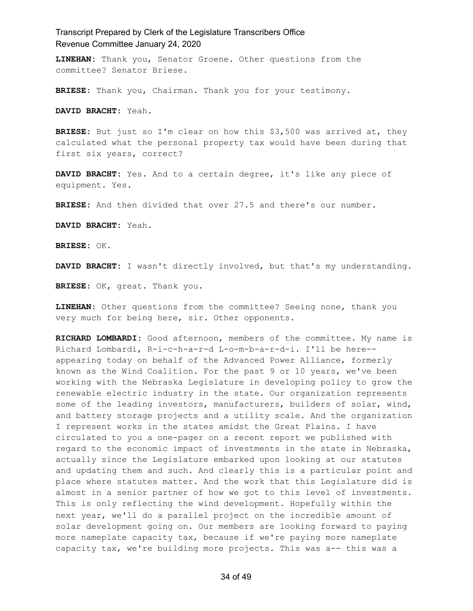**LINEHAN:** Thank you, Senator Groene. Other questions from the committee? Senator Briese.

**BRIESE:** Thank you, Chairman. Thank you for your testimony.

**DAVID BRACHT:** Yeah.

**BRIESE:** But just so I'm clear on how this \$3,500 was arrived at, they calculated what the personal property tax would have been during that first six years, correct?

**DAVID BRACHT:** Yes. And to a certain degree, it's like any piece of equipment. Yes.

**BRIESE:** And then divided that over 27.5 and there's our number.

**DAVID BRACHT:** Yeah.

**BRIESE:** OK.

**DAVID BRACHT:** I wasn't directly involved, but that's my understanding.

**BRIESE:** OK, great. Thank you.

**LINEHAN:** Other questions from the committee? Seeing none, thank you very much for being here, sir. Other opponents.

**RICHARD LOMBARDI:** Good afternoon, members of the committee. My name is Richard Lombardi, R-i-c-h-a-r-d L-o-m-b-a-r-d-i. I'll be here- appearing today on behalf of the Advanced Power Alliance, formerly known as the Wind Coalition. For the past 9 or 10 years, we've been working with the Nebraska Legislature in developing policy to grow the renewable electric industry in the state. Our organization represents some of the leading investors, manufacturers, builders of solar, wind, and battery storage projects and a utility scale. And the organization I represent works in the states amidst the Great Plains. I have circulated to you a one-pager on a recent report we published with regard to the economic impact of investments in the state in Nebraska, actually since the Legislature embarked upon looking at our statutes and updating them and such. And clearly this is a particular point and place where statutes matter. And the work that this Legislature did is almost in a senior partner of how we got to this level of investments. This is only reflecting the wind development. Hopefully within the next year, we'll do a parallel project on the incredible amount of solar development going on. Our members are looking forward to paying more nameplate capacity tax, because if we're paying more nameplate capacity tax, we're building more projects. This was a-- this was a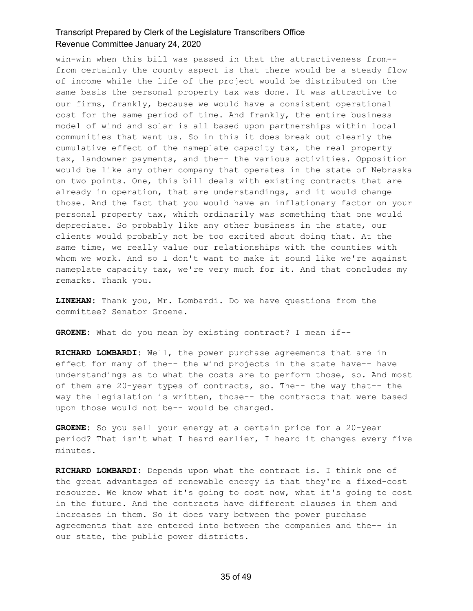win-win when this bill was passed in that the attractiveness from- from certainly the county aspect is that there would be a steady flow of income while the life of the project would be distributed on the same basis the personal property tax was done. It was attractive to our firms, frankly, because we would have a consistent operational cost for the same period of time. And frankly, the entire business model of wind and solar is all based upon partnerships within local communities that want us. So in this it does break out clearly the cumulative effect of the nameplate capacity tax, the real property tax, landowner payments, and the-- the various activities. Opposition would be like any other company that operates in the state of Nebraska on two points. One, this bill deals with existing contracts that are already in operation, that are understandings, and it would change those. And the fact that you would have an inflationary factor on your personal property tax, which ordinarily was something that one would depreciate. So probably like any other business in the state, our clients would probably not be too excited about doing that. At the same time, we really value our relationships with the counties with whom we work. And so I don't want to make it sound like we're against nameplate capacity tax, we're very much for it. And that concludes my remarks. Thank you.

**LINEHAN:** Thank you, Mr. Lombardi. Do we have questions from the committee? Senator Groene.

**GROENE:** What do you mean by existing contract? I mean if--

**RICHARD LOMBARDI:** Well, the power purchase agreements that are in effect for many of the-- the wind projects in the state have-- have understandings as to what the costs are to perform those, so. And most of them are 20-year types of contracts, so. The-- the way that-- the way the legislation is written, those-- the contracts that were based upon those would not be-- would be changed.

**GROENE:** So you sell your energy at a certain price for a 20-year period? That isn't what I heard earlier, I heard it changes every five minutes.

**RICHARD LOMBARDI:** Depends upon what the contract is. I think one of the great advantages of renewable energy is that they're a fixed-cost resource. We know what it's going to cost now, what it's going to cost in the future. And the contracts have different clauses in them and increases in them. So it does vary between the power purchase agreements that are entered into between the companies and the-- in our state, the public power districts.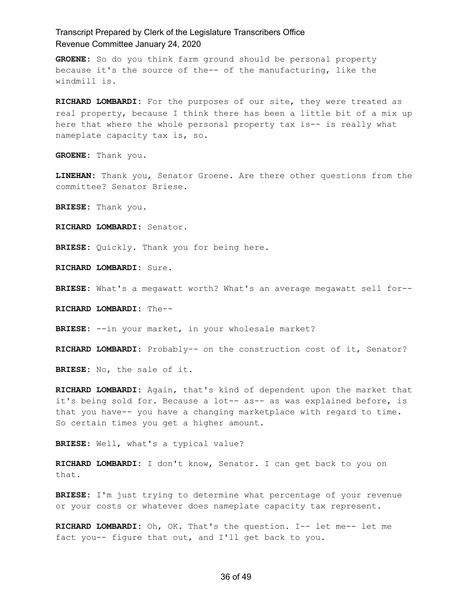**GROENE:** So do you think farm ground should be personal property because it's the source of the-- of the manufacturing, like the windmill is.

**RICHARD LOMBARDI:** For the purposes of our site, they were treated as real property, because I think there has been a little bit of a mix up here that where the whole personal property tax is-- is really what nameplate capacity tax is, so.

**GROENE:** Thank you.

**LINEHAN:** Thank you, Senator Groene. Are there other questions from the committee? Senator Briese.

**BRIESE:** Thank you.

**RICHARD LOMBARDI:** Senator.

**BRIESE:** Quickly. Thank you for being here.

**RICHARD LOMBARDI:** Sure.

**BRIESE:** What's a megawatt worth? What's an average megawatt sell for--

**RICHARD LOMBARDI:** The--

**BRIESE:** --in your market, in your wholesale market?

**RICHARD LOMBARDI:** Probably-- on the construction cost of it, Senator?

**BRIESE:** No, the sale of it.

**RICHARD LOMBARDI:** Again, that's kind of dependent upon the market that it's being sold for. Because a lot-- as-- as was explained before, is that you have-- you have a changing marketplace with regard to time. So certain times you get a higher amount.

**BRIESE:** Well, what's a typical value?

**RICHARD LOMBARDI:** I don't know, Senator. I can get back to you on that.

**BRIESE:** I'm just trying to determine what percentage of your revenue or your costs or whatever does nameplate capacity tax represent.

**RICHARD LOMBARDI:** Oh, OK. That's the question. I-- let me-- let me fact you-- figure that out, and I'll get back to you.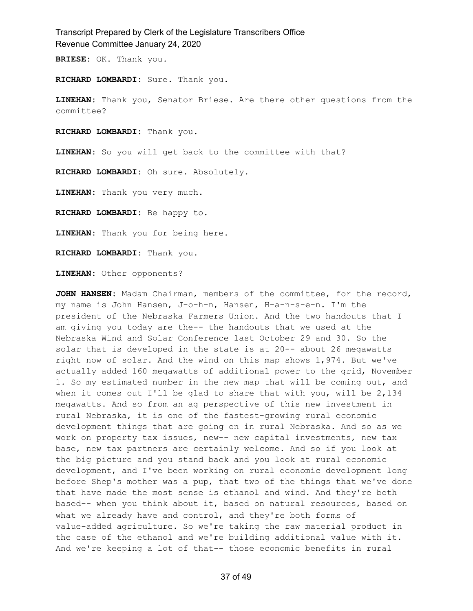**BRIESE:** OK. Thank you.

**RICHARD LOMBARDI:** Sure. Thank you.

**LINEHAN:** Thank you, Senator Briese. Are there other questions from the committee?

**RICHARD LOMBARDI:** Thank you.

**LINEHAN:** So you will get back to the committee with that?

**RICHARD LOMBARDI:** Oh sure. Absolutely.

**LINEHAN:** Thank you very much.

**RICHARD LOMBARDI:** Be happy to.

**LINEHAN:** Thank you for being here.

**RICHARD LOMBARDI:** Thank you.

**LINEHAN:** Other opponents?

**JOHN HANSEN:** Madam Chairman, members of the committee, for the record, my name is John Hansen, J-o-h-n, Hansen, H-a-n-s-e-n. I'm the president of the Nebraska Farmers Union. And the two handouts that I am giving you today are the-- the handouts that we used at the Nebraska Wind and Solar Conference last October 29 and 30. So the solar that is developed in the state is at 20-- about 26 megawatts right now of solar. And the wind on this map shows 1,974. But we've actually added 160 megawatts of additional power to the grid, November 1. So my estimated number in the new map that will be coming out, and when it comes out I'll be glad to share that with you, will be  $2,134$ megawatts. And so from an ag perspective of this new investment in rural Nebraska, it is one of the fastest-growing rural economic development things that are going on in rural Nebraska. And so as we work on property tax issues, new-- new capital investments, new tax base, new tax partners are certainly welcome. And so if you look at the big picture and you stand back and you look at rural economic development, and I've been working on rural economic development long before Shep's mother was a pup, that two of the things that we've done that have made the most sense is ethanol and wind. And they're both based-- when you think about it, based on natural resources, based on what we already have and control, and they're both forms of value-added agriculture. So we're taking the raw material product in the case of the ethanol and we're building additional value with it. And we're keeping a lot of that-- those economic benefits in rural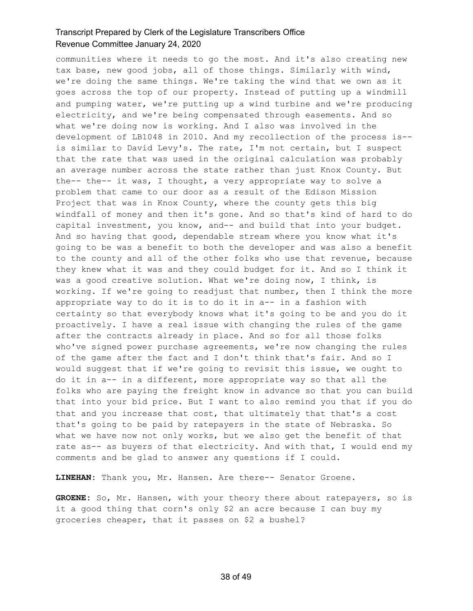communities where it needs to go the most. And it's also creating new tax base, new good jobs, all of those things. Similarly with wind, we're doing the same things. We're taking the wind that we own as it goes across the top of our property. Instead of putting up a windmill and pumping water, we're putting up a wind turbine and we're producing electricity, and we're being compensated through easements. And so what we're doing now is working. And I also was involved in the development of LB1048 in 2010. And my recollection of the process is- is similar to David Levy's. The rate, I'm not certain, but I suspect that the rate that was used in the original calculation was probably an average number across the state rather than just Knox County. But the-- the-- it was, I thought, a very appropriate way to solve a problem that came to our door as a result of the Edison Mission Project that was in Knox County, where the county gets this big windfall of money and then it's gone. And so that's kind of hard to do capital investment, you know, and-- and build that into your budget. And so having that good, dependable stream where you know what it's going to be was a benefit to both the developer and was also a benefit to the county and all of the other folks who use that revenue, because they knew what it was and they could budget for it. And so I think it was a good creative solution. What we're doing now, I think, is working. If we're going to readjust that number, then I think the more appropriate way to do it is to do it in a-- in a fashion with certainty so that everybody knows what it's going to be and you do it proactively. I have a real issue with changing the rules of the game after the contracts already in place. And so for all those folks who've signed power purchase agreements, we're now changing the rules of the game after the fact and I don't think that's fair. And so I would suggest that if we're going to revisit this issue, we ought to do it in a-- in a different, more appropriate way so that all the folks who are paying the freight know in advance so that you can build that into your bid price. But I want to also remind you that if you do that and you increase that cost, that ultimately that that's a cost that's going to be paid by ratepayers in the state of Nebraska. So what we have now not only works, but we also get the benefit of that rate as-- as buyers of that electricity. And with that, I would end my comments and be glad to answer any questions if I could.

**LINEHAN:** Thank you, Mr. Hansen. Are there-- Senator Groene.

**GROENE:** So, Mr. Hansen, with your theory there about ratepayers, so is it a good thing that corn's only \$2 an acre because I can buy my groceries cheaper, that it passes on \$2 a bushel?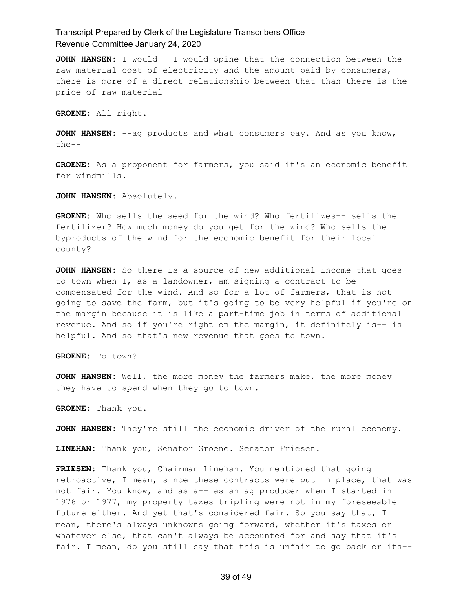**JOHN HANSEN:** I would-- I would opine that the connection between the raw material cost of electricity and the amount paid by consumers, there is more of a direct relationship between that than there is the price of raw material--

**GROENE:** All right.

**JOHN HANSEN:** --ag products and what consumers pay. And as you know, the--

**GROENE:** As a proponent for farmers, you said it's an economic benefit for windmills.

**JOHN HANSEN:** Absolutely.

**GROENE:** Who sells the seed for the wind? Who fertilizes-- sells the fertilizer? How much money do you get for the wind? Who sells the byproducts of the wind for the economic benefit for their local county?

**JOHN HANSEN:** So there is a source of new additional income that goes to town when I, as a landowner, am signing a contract to be compensated for the wind. And so for a lot of farmers, that is not going to save the farm, but it's going to be very helpful if you're on the margin because it is like a part-time job in terms of additional revenue. And so if you're right on the margin, it definitely is-- is helpful. And so that's new revenue that goes to town.

**GROENE:** To town?

**JOHN HANSEN:** Well, the more money the farmers make, the more money they have to spend when they go to town.

**GROENE:** Thank you.

**JOHN HANSEN:** They're still the economic driver of the rural economy.

**LINEHAN:** Thank you, Senator Groene. Senator Friesen.

**FRIESEN:** Thank you, Chairman Linehan. You mentioned that going retroactive, I mean, since these contracts were put in place, that was not fair. You know, and as a-- as an ag producer when I started in 1976 or 1977, my property taxes tripling were not in my foreseeable future either. And yet that's considered fair. So you say that, I mean, there's always unknowns going forward, whether it's taxes or whatever else, that can't always be accounted for and say that it's fair. I mean, do you still say that this is unfair to go back or its--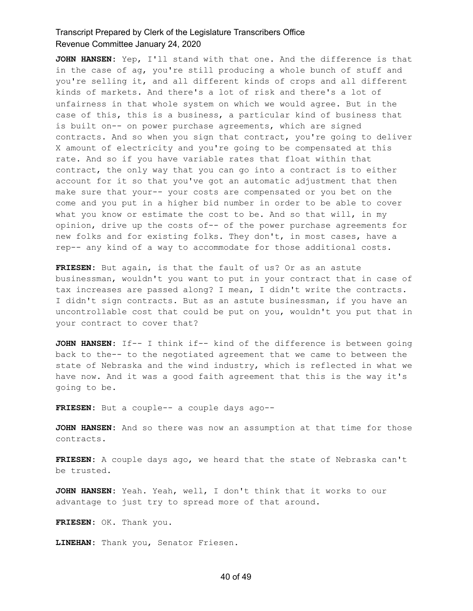**JOHN HANSEN:** Yep, I'll stand with that one. And the difference is that in the case of ag, you're still producing a whole bunch of stuff and you're selling it, and all different kinds of crops and all different kinds of markets. And there's a lot of risk and there's a lot of unfairness in that whole system on which we would agree. But in the case of this, this is a business, a particular kind of business that is built on-- on power purchase agreements, which are signed contracts. And so when you sign that contract, you're going to deliver X amount of electricity and you're going to be compensated at this rate. And so if you have variable rates that float within that contract, the only way that you can go into a contract is to either account for it so that you've got an automatic adjustment that then make sure that your-- your costs are compensated or you bet on the come and you put in a higher bid number in order to be able to cover what you know or estimate the cost to be. And so that will, in my opinion, drive up the costs of-- of the power purchase agreements for new folks and for existing folks. They don't, in most cases, have a rep-- any kind of a way to accommodate for those additional costs.

**FRIESEN:** But again, is that the fault of us? Or as an astute businessman, wouldn't you want to put in your contract that in case of tax increases are passed along? I mean, I didn't write the contracts. I didn't sign contracts. But as an astute businessman, if you have an uncontrollable cost that could be put on you, wouldn't you put that in your contract to cover that?

**JOHN HANSEN:** If-- I think if-- kind of the difference is between going back to the-- to the negotiated agreement that we came to between the state of Nebraska and the wind industry, which is reflected in what we have now. And it was a good faith agreement that this is the way it's going to be.

**FRIESEN:** But a couple-- a couple days ago--

**JOHN HANSEN:** And so there was now an assumption at that time for those contracts.

**FRIESEN:** A couple days ago, we heard that the state of Nebraska can't be trusted.

**JOHN HANSEN:** Yeah. Yeah, well, I don't think that it works to our advantage to just try to spread more of that around.

**FRIESEN:** OK. Thank you.

**LINEHAN:** Thank you, Senator Friesen.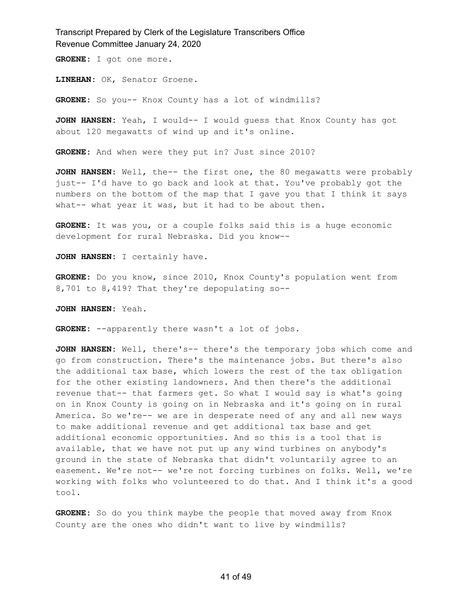**GROENE:** I got one more.

**LINEHAN:** OK, Senator Groene.

GROENE: So you-- Knox County has a lot of windmills?

**JOHN HANSEN:** Yeah, I would-- I would guess that Knox County has got about 120 megawatts of wind up and it's online.

**GROENE:** And when were they put in? Just since 2010?

**JOHN HANSEN:** Well, the-- the first one, the 80 megawatts were probably just-- I'd have to go back and look at that. You've probably got the numbers on the bottom of the map that I gave you that I think it says what-- what year it was, but it had to be about then.

**GROENE:** It was you, or a couple folks said this is a huge economic development for rural Nebraska. Did you know--

**JOHN HANSEN:** I certainly have.

**GROENE:** Do you know, since 2010, Knox County's population went from 8,701 to 8,419? That they're depopulating so--

**JOHN HANSEN:** Yeah.

**GROENE:** --apparently there wasn't a lot of jobs.

**JOHN HANSEN:** Well, there's-- there's the temporary jobs which come and go from construction. There's the maintenance jobs. But there's also the additional tax base, which lowers the rest of the tax obligation for the other existing landowners. And then there's the additional revenue that-- that farmers get. So what I would say is what's going on in Knox County is going on in Nebraska and it's going on in rural America. So we're-- we are in desperate need of any and all new ways to make additional revenue and get additional tax base and get additional economic opportunities. And so this is a tool that is available, that we have not put up any wind turbines on anybody's ground in the state of Nebraska that didn't voluntarily agree to an easement. We're not-- we're not forcing turbines on folks. Well, we're working with folks who volunteered to do that. And I think it's a good tool.

**GROENE:** So do you think maybe the people that moved away from Knox County are the ones who didn't want to live by windmills?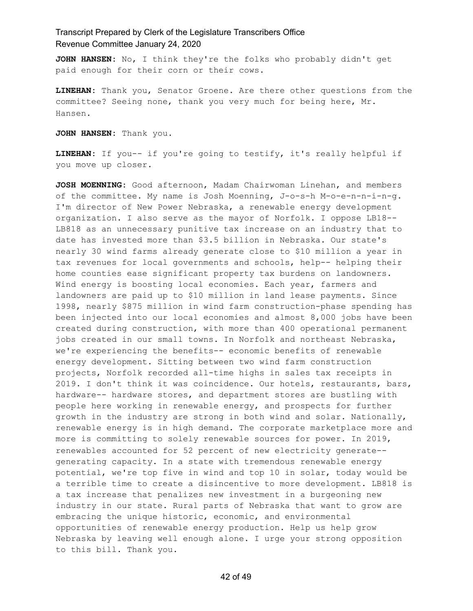**JOHN HANSEN:** No, I think they're the folks who probably didn't get paid enough for their corn or their cows.

**LINEHAN:** Thank you, Senator Groene. Are there other questions from the committee? Seeing none, thank you very much for being here, Mr. Hansen.

**JOHN HANSEN:** Thank you.

**LINEHAN:** If you-- if you're going to testify, it's really helpful if you move up closer.

**JOSH MOENNING:** Good afternoon, Madam Chairwoman Linehan, and members of the committee. My name is Josh Moenning, J-o-s-h M-o-e-n-n-i-n-g. I'm director of New Power Nebraska, a renewable energy development organization. I also serve as the mayor of Norfolk. I oppose LB18-- LB818 as an unnecessary punitive tax increase on an industry that to date has invested more than \$3.5 billion in Nebraska. Our state's nearly 30 wind farms already generate close to \$10 million a year in tax revenues for local governments and schools, help-- helping their home counties ease significant property tax burdens on landowners. Wind energy is boosting local economies. Each year, farmers and landowners are paid up to \$10 million in land lease payments. Since 1998, nearly \$875 million in wind farm construction-phase spending has been injected into our local economies and almost 8,000 jobs have been created during construction, with more than 400 operational permanent jobs created in our small towns. In Norfolk and northeast Nebraska, we're experiencing the benefits-- economic benefits of renewable energy development. Sitting between two wind farm construction projects, Norfolk recorded all-time highs in sales tax receipts in 2019. I don't think it was coincidence. Our hotels, restaurants, bars, hardware-- hardware stores, and department stores are bustling with people here working in renewable energy, and prospects for further growth in the industry are strong in both wind and solar. Nationally, renewable energy is in high demand. The corporate marketplace more and more is committing to solely renewable sources for power. In 2019, renewables accounted for 52 percent of new electricity generate- generating capacity. In a state with tremendous renewable energy potential, we're top five in wind and top 10 in solar, today would be a terrible time to create a disincentive to more development. LB818 is a tax increase that penalizes new investment in a burgeoning new industry in our state. Rural parts of Nebraska that want to grow are embracing the unique historic, economic, and environmental opportunities of renewable energy production. Help us help grow Nebraska by leaving well enough alone. I urge your strong opposition to this bill. Thank you.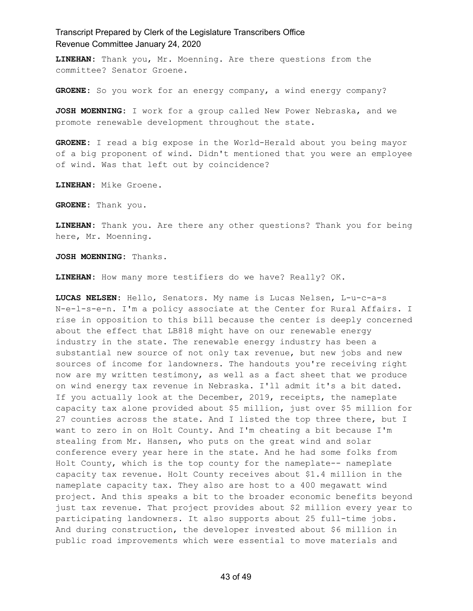**LINEHAN:** Thank you, Mr. Moenning. Are there questions from the committee? Senator Groene.

GROENE: So you work for an energy company, a wind energy company?

**JOSH MOENNING:** I work for a group called New Power Nebraska, and we promote renewable development throughout the state.

**GROENE:** I read a big expose in the World-Herald about you being mayor of a big proponent of wind. Didn't mentioned that you were an employee of wind. Was that left out by coincidence?

**LINEHAN:** Mike Groene.

**GROENE:** Thank you.

**LINEHAN:** Thank you. Are there any other questions? Thank you for being here, Mr. Moenning.

**JOSH MOENNING:** Thanks.

**LINEHAN:** How many more testifiers do we have? Really? OK.

**LUCAS NELSEN:** Hello, Senators. My name is Lucas Nelsen, L-u-c-a-s N-e-l-s-e-n. I'm a policy associate at the Center for Rural Affairs. I rise in opposition to this bill because the center is deeply concerned about the effect that LB818 might have on our renewable energy industry in the state. The renewable energy industry has been a substantial new source of not only tax revenue, but new jobs and new sources of income for landowners. The handouts you're receiving right now are my written testimony, as well as a fact sheet that we produce on wind energy tax revenue in Nebraska. I'll admit it's a bit dated. If you actually look at the December, 2019, receipts, the nameplate capacity tax alone provided about \$5 million, just over \$5 million for 27 counties across the state. And I listed the top three there, but I want to zero in on Holt County. And I'm cheating a bit because I'm stealing from Mr. Hansen, who puts on the great wind and solar conference every year here in the state. And he had some folks from Holt County, which is the top county for the nameplate-- nameplate capacity tax revenue. Holt County receives about \$1.4 million in the nameplate capacity tax. They also are host to a 400 megawatt wind project. And this speaks a bit to the broader economic benefits beyond just tax revenue. That project provides about \$2 million every year to participating landowners. It also supports about 25 full-time jobs. And during construction, the developer invested about \$6 million in public road improvements which were essential to move materials and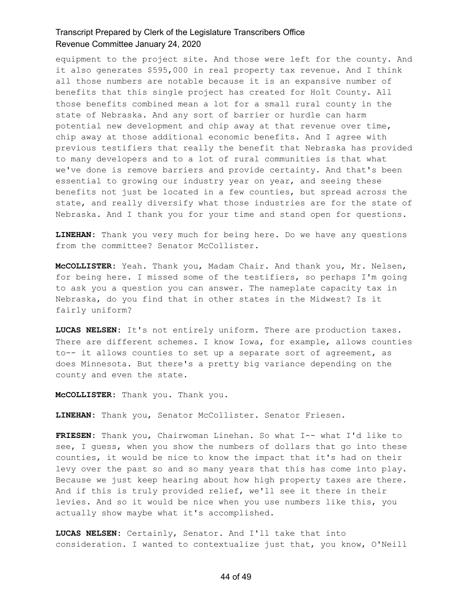equipment to the project site. And those were left for the county. And it also generates \$595,000 in real property tax revenue. And I think all those numbers are notable because it is an expansive number of benefits that this single project has created for Holt County. All those benefits combined mean a lot for a small rural county in the state of Nebraska. And any sort of barrier or hurdle can harm potential new development and chip away at that revenue over time, chip away at those additional economic benefits. And I agree with previous testifiers that really the benefit that Nebraska has provided to many developers and to a lot of rural communities is that what we've done is remove barriers and provide certainty. And that's been essential to growing our industry year on year, and seeing these benefits not just be located in a few counties, but spread across the state, and really diversify what those industries are for the state of Nebraska. And I thank you for your time and stand open for questions.

**LINEHAN:** Thank you very much for being here. Do we have any questions from the committee? Senator McCollister.

**McCOLLISTER:** Yeah. Thank you, Madam Chair. And thank you, Mr. Nelsen, for being here. I missed some of the testifiers, so perhaps I'm going to ask you a question you can answer. The nameplate capacity tax in Nebraska, do you find that in other states in the Midwest? Is it fairly uniform?

**LUCAS NELSEN:** It's not entirely uniform. There are production taxes. There are different schemes. I know Iowa, for example, allows counties to-- it allows counties to set up a separate sort of agreement, as does Minnesota. But there's a pretty big variance depending on the county and even the state.

**McCOLLISTER:** Thank you. Thank you.

**LINEHAN:** Thank you, Senator McCollister. Senator Friesen.

**FRIESEN:** Thank you, Chairwoman Linehan. So what I-- what I'd like to see, I guess, when you show the numbers of dollars that go into these counties, it would be nice to know the impact that it's had on their levy over the past so and so many years that this has come into play. Because we just keep hearing about how high property taxes are there. And if this is truly provided relief, we'll see it there in their levies. And so it would be nice when you use numbers like this, you actually show maybe what it's accomplished.

**LUCAS NELSEN:** Certainly, Senator. And I'll take that into consideration. I wanted to contextualize just that, you know, O'Neill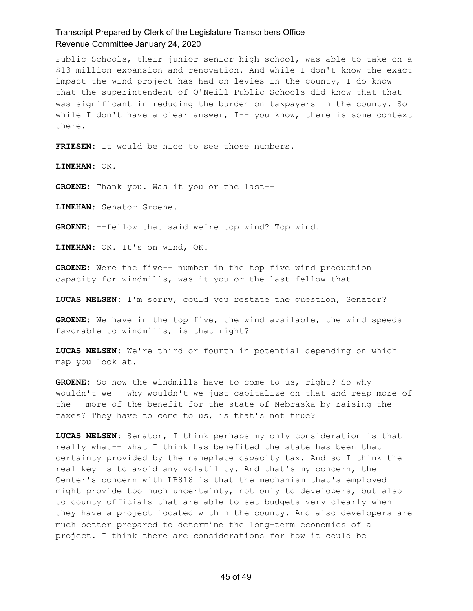Public Schools, their junior-senior high school, was able to take on a \$13 million expansion and renovation. And while I don't know the exact impact the wind project has had on levies in the county, I do know that the superintendent of O'Neill Public Schools did know that that was significant in reducing the burden on taxpayers in the county. So while I don't have a clear answer, I-- you know, there is some context there.

**FRIESEN:** It would be nice to see those numbers.

**LINEHAN:** OK.

**GROENE:** Thank you. Was it you or the last--

**LINEHAN:** Senator Groene.

**GROENE:** --fellow that said we're top wind? Top wind.

**LINEHAN:** OK. It's on wind, OK.

**GROENE:** Were the five-- number in the top five wind production capacity for windmills, was it you or the last fellow that--

**LUCAS NELSEN:** I'm sorry, could you restate the question, Senator?

**GROENE:** We have in the top five, the wind available, the wind speeds favorable to windmills, is that right?

**LUCAS NELSEN:** We're third or fourth in potential depending on which map you look at.

**GROENE:** So now the windmills have to come to us, right? So why wouldn't we-- why wouldn't we just capitalize on that and reap more of the-- more of the benefit for the state of Nebraska by raising the taxes? They have to come to us, is that's not true?

**LUCAS NELSEN:** Senator, I think perhaps my only consideration is that really what-- what I think has benefited the state has been that certainty provided by the nameplate capacity tax. And so I think the real key is to avoid any volatility. And that's my concern, the Center's concern with LB818 is that the mechanism that's employed might provide too much uncertainty, not only to developers, but also to county officials that are able to set budgets very clearly when they have a project located within the county. And also developers are much better prepared to determine the long-term economics of a project. I think there are considerations for how it could be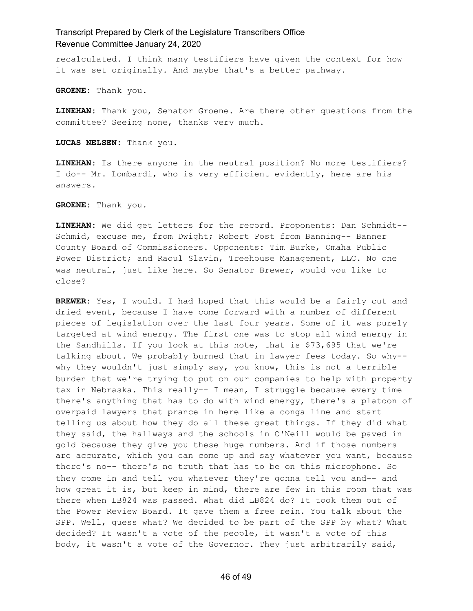recalculated. I think many testifiers have given the context for how it was set originally. And maybe that's a better pathway.

**GROENE:** Thank you.

**LINEHAN:** Thank you, Senator Groene. Are there other questions from the committee? Seeing none, thanks very much.

**LUCAS NELSEN:** Thank you.

**LINEHAN:** Is there anyone in the neutral position? No more testifiers? I do-- Mr. Lombardi, who is very efficient evidently, here are his answers.

**GROENE:** Thank you.

**LINEHAN:** We did get letters for the record. Proponents: Dan Schmidt-- Schmid, excuse me, from Dwight; Robert Post from Banning-- Banner County Board of Commissioners. Opponents: Tim Burke, Omaha Public Power District; and Raoul Slavin, Treehouse Management, LLC. No one was neutral, just like here. So Senator Brewer, would you like to close?

**BREWER:** Yes, I would. I had hoped that this would be a fairly cut and dried event, because I have come forward with a number of different pieces of legislation over the last four years. Some of it was purely targeted at wind energy. The first one was to stop all wind energy in the Sandhills. If you look at this note, that is \$73,695 that we're talking about. We probably burned that in lawyer fees today. So why- why they wouldn't just simply say, you know, this is not a terrible burden that we're trying to put on our companies to help with property tax in Nebraska. This really-- I mean, I struggle because every time there's anything that has to do with wind energy, there's a platoon of overpaid lawyers that prance in here like a conga line and start telling us about how they do all these great things. If they did what they said, the hallways and the schools in O'Neill would be paved in gold because they give you these huge numbers. And if those numbers are accurate, which you can come up and say whatever you want, because there's no-- there's no truth that has to be on this microphone. So they come in and tell you whatever they're gonna tell you and-- and how great it is, but keep in mind, there are few in this room that was there when LB824 was passed. What did LB824 do? It took them out of the Power Review Board. It gave them a free rein. You talk about the SPP. Well, guess what? We decided to be part of the SPP by what? What decided? It wasn't a vote of the people, it wasn't a vote of this body, it wasn't a vote of the Governor. They just arbitrarily said,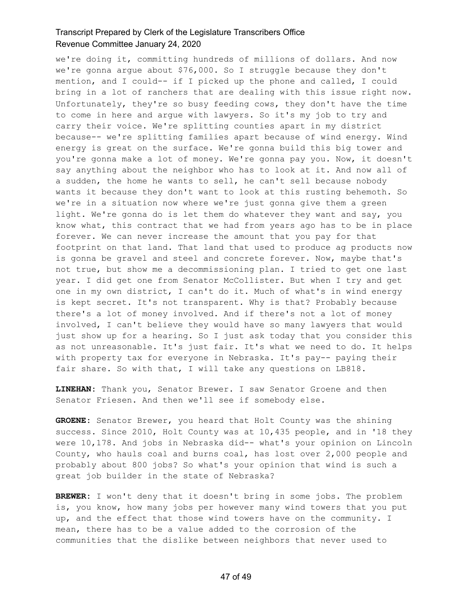we're doing it, committing hundreds of millions of dollars. And now we're gonna argue about \$76,000. So I struggle because they don't mention, and I could-- if I picked up the phone and called, I could bring in a lot of ranchers that are dealing with this issue right now. Unfortunately, they're so busy feeding cows, they don't have the time to come in here and argue with lawyers. So it's my job to try and carry their voice. We're splitting counties apart in my district because-- we're splitting families apart because of wind energy. Wind energy is great on the surface. We're gonna build this big tower and you're gonna make a lot of money. We're gonna pay you. Now, it doesn't say anything about the neighbor who has to look at it. And now all of a sudden, the home he wants to sell, he can't sell because nobody wants it because they don't want to look at this rusting behemoth. So we're in a situation now where we're just gonna give them a green light. We're gonna do is let them do whatever they want and say, you know what, this contract that we had from years ago has to be in place forever. We can never increase the amount that you pay for that footprint on that land. That land that used to produce ag products now is gonna be gravel and steel and concrete forever. Now, maybe that's not true, but show me a decommissioning plan. I tried to get one last year. I did get one from Senator McCollister. But when I try and get one in my own district, I can't do it. Much of what's in wind energy is kept secret. It's not transparent. Why is that? Probably because there's a lot of money involved. And if there's not a lot of money involved, I can't believe they would have so many lawyers that would just show up for a hearing. So I just ask today that you consider this as not unreasonable. It's just fair. It's what we need to do. It helps with property tax for everyone in Nebraska. It's pay-- paying their fair share. So with that, I will take any questions on LB818.

**LINEHAN:** Thank you, Senator Brewer. I saw Senator Groene and then Senator Friesen. And then we'll see if somebody else.

**GROENE:** Senator Brewer, you heard that Holt County was the shining success. Since 2010, Holt County was at 10,435 people, and in '18 they were 10,178. And jobs in Nebraska did-- what's your opinion on Lincoln County, who hauls coal and burns coal, has lost over 2,000 people and probably about 800 jobs? So what's your opinion that wind is such a great job builder in the state of Nebraska?

**BREWER:** I won't deny that it doesn't bring in some jobs. The problem is, you know, how many jobs per however many wind towers that you put up, and the effect that those wind towers have on the community. I mean, there has to be a value added to the corrosion of the communities that the dislike between neighbors that never used to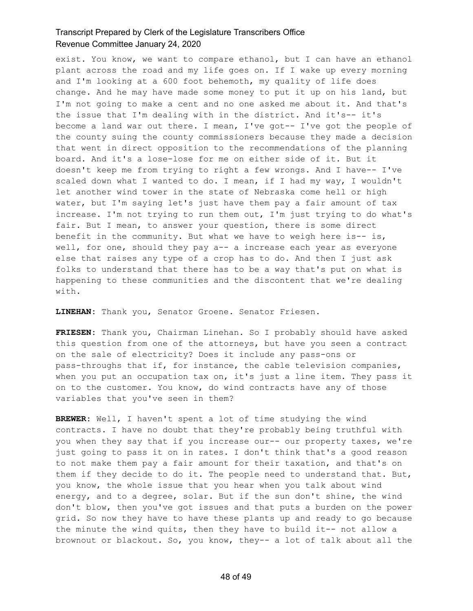exist. You know, we want to compare ethanol, but I can have an ethanol plant across the road and my life goes on. If I wake up every morning and I'm looking at a 600 foot behemoth, my quality of life does change. And he may have made some money to put it up on his land, but I'm not going to make a cent and no one asked me about it. And that's the issue that I'm dealing with in the district. And it's-- it's become a land war out there. I mean, I've got-- I've got the people of the county suing the county commissioners because they made a decision that went in direct opposition to the recommendations of the planning board. And it's a lose-lose for me on either side of it. But it doesn't keep me from trying to right a few wrongs. And I have-- I've scaled down what I wanted to do. I mean, if I had my way, I wouldn't let another wind tower in the state of Nebraska come hell or high water, but I'm saying let's just have them pay a fair amount of tax increase. I'm not trying to run them out, I'm just trying to do what's fair. But I mean, to answer your question, there is some direct benefit in the community. But what we have to weigh here is-- is, well, for one, should they pay a-- a increase each year as everyone else that raises any type of a crop has to do. And then I just ask folks to understand that there has to be a way that's put on what is happening to these communities and the discontent that we're dealing with.

**LINEHAN:** Thank you, Senator Groene. Senator Friesen.

**FRIESEN:** Thank you, Chairman Linehan. So I probably should have asked this question from one of the attorneys, but have you seen a contract on the sale of electricity? Does it include any pass-ons or pass-throughs that if, for instance, the cable television companies, when you put an occupation tax on, it's just a line item. They pass it on to the customer. You know, do wind contracts have any of those variables that you've seen in them?

**BREWER:** Well, I haven't spent a lot of time studying the wind contracts. I have no doubt that they're probably being truthful with you when they say that if you increase our-- our property taxes, we're just going to pass it on in rates. I don't think that's a good reason to not make them pay a fair amount for their taxation, and that's on them if they decide to do it. The people need to understand that. But, you know, the whole issue that you hear when you talk about wind energy, and to a degree, solar. But if the sun don't shine, the wind don't blow, then you've got issues and that puts a burden on the power grid. So now they have to have these plants up and ready to go because the minute the wind quits, then they have to build it-- not allow a brownout or blackout. So, you know, they-- a lot of talk about all the